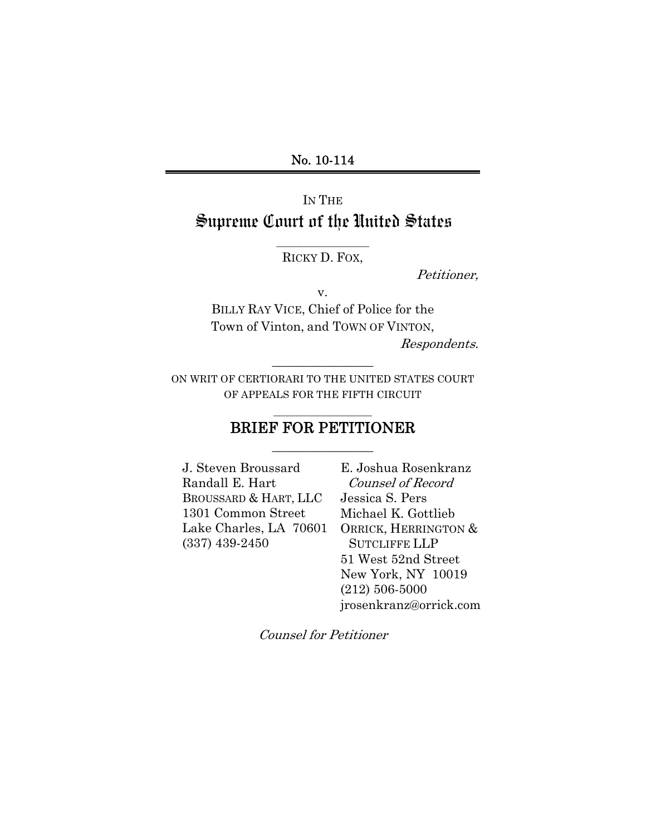## No. 10-114

# IN THE Supreme Court of the United States

## $\frac{1}{2}$  , where  $\frac{1}{2}$  , where  $\frac{1}{2}$  , where  $\frac{1}{2}$ RICKY D. FOX,

Petitioner,

v.

BILLY RAY VICE, Chief of Police for the Town of Vinton, and TOWN OF VINTON,

Respondents.

ON WRIT OF CERTIORARI TO THE UNITED STATES COURT OF APPEALS FOR THE FIFTH CIRCUIT

 $\overline{\phantom{a}}$  , where  $\overline{\phantom{a}}$ 

# $\mathcal{L}_\text{max}$ BRIEF FOR PETITIONER  $\overline{\phantom{a}}$  , where  $\overline{\phantom{a}}$

J. Steven Broussard Randall E. Hart BROUSSARD & HART, LLC 1301 Common Street (337) 439-2450

Lake Charles, LA 70601 ORRICK, HERRINGTON & E. Joshua Rosenkranz Counsel of Record Jessica S. Pers Michael K. Gottlieb SUTCLIFFE LLP 51 West 52nd Street New York, NY 10019 (212) 506-5000 jrosenkranz@orrick.com

Counsel for Petitioner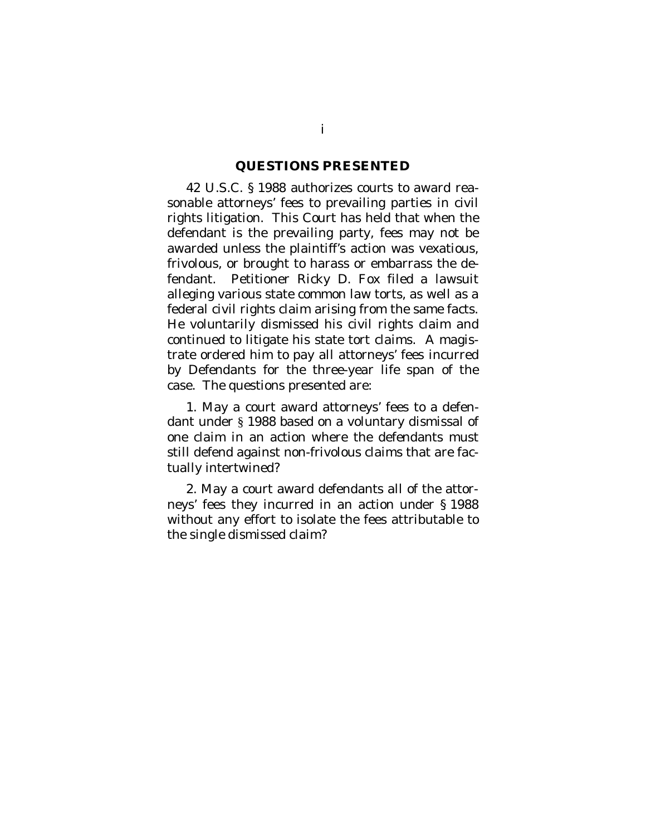#### <span id="page-1-0"></span>**QUESTIONS PRESENTED**

42 U.S.C. § 1988 authorizes courts to award reasonable attorneys' fees to prevailing parties in civil rights litigation. This Court has held that when the defendant is the prevailing party, fees may not be awarded unless the plaintiff's action was vexatious, frivolous, or brought to harass or embarrass the defendant. Petitioner Ricky D. Fox filed a lawsuit alleging various state common law torts, as well as a federal civil rights claim arising from the same facts. He voluntarily dismissed his civil rights claim and continued to litigate his state tort claims. A magistrate ordered him to pay all attorneys' fees incurred by Defendants for the three-year life span of the case. The questions presented are:

1. May a court award attorneys' fees to a defendant under § 1988 based on a voluntary dismissal of one claim in an action where the defendants must still defend against non-frivolous claims that are factually intertwined?

2. May a court award defendants all of the attorneys' fees they incurred in an action under § 1988 without any effort to isolate the fees attributable to the single dismissed claim?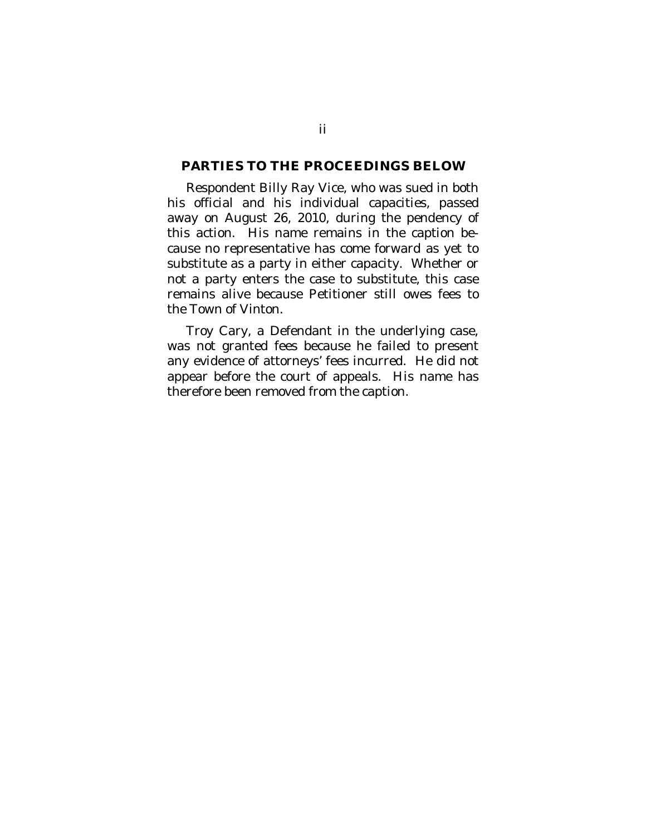#### <span id="page-2-0"></span>**PARTIES TO THE PROCEEDINGS BELOW**

Respondent Billy Ray Vice, who was sued in both his official and his individual capacities, passed away on August 26, 2010, during the pendency of this action. His name remains in the caption because no representative has come forward as yet to substitute as a party in either capacity. Whether or not a party enters the case to substitute, this case remains alive because Petitioner still owes fees to the Town of Vinton.

Troy Cary, a Defendant in the underlying case, was not granted fees because he failed to present any evidence of attorneys' fees incurred. He did not appear before the court of appeals. His name has therefore been removed from the caption.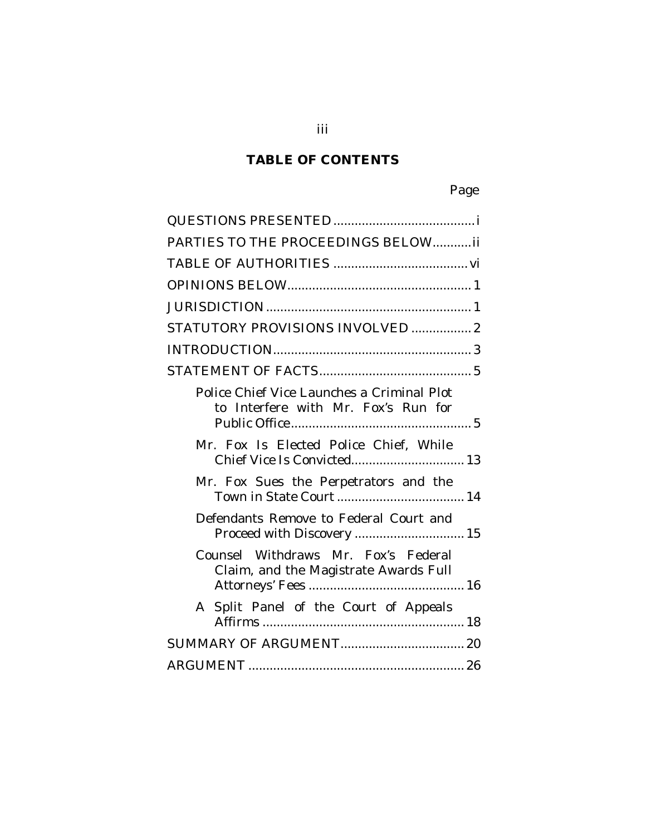# **TABLE OF CONTENTS**

| PARTIES TO THE PROCEEDINGS BELOWii                                                |
|-----------------------------------------------------------------------------------|
|                                                                                   |
|                                                                                   |
|                                                                                   |
| STATUTORY PROVISIONS INVOLVED  2                                                  |
|                                                                                   |
|                                                                                   |
| Police Chief Vice Launches a Criminal Plot<br>to Interfere with Mr. Fox's Run for |
| Mr. Fox Is Elected Police Chief, While<br>Chief Vice Is Convicted 13              |
| Mr. Fox Sues the Perpetrators and the                                             |
| Defendants Remove to Federal Court and                                            |
| Counsel Withdraws Mr. Fox's Federal<br>Claim, and the Magistrate Awards Full      |
| A Split Panel of the Court of Appeals                                             |
|                                                                                   |
|                                                                                   |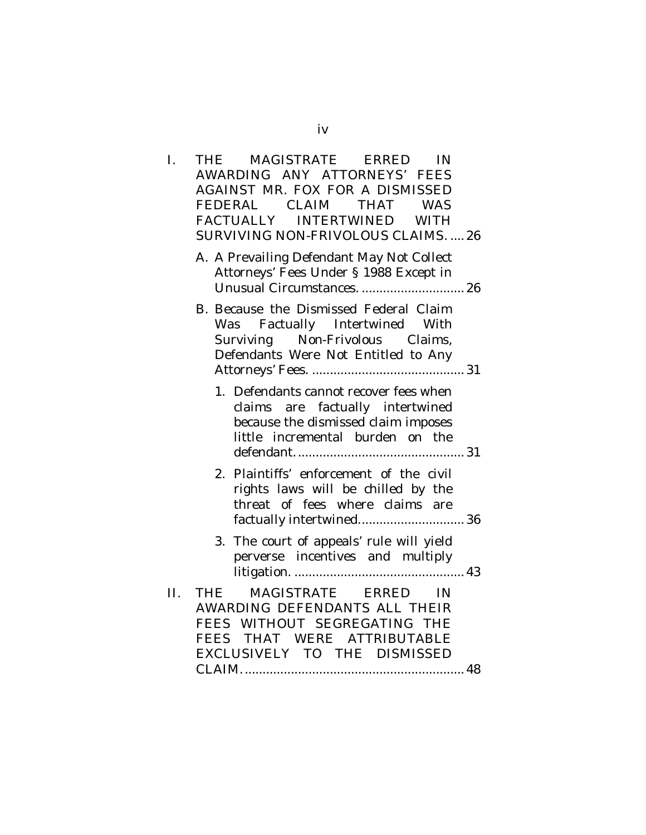| I.  | MAGISTRATE ERRED<br>THE<br>IN                                                                                                                                     |
|-----|-------------------------------------------------------------------------------------------------------------------------------------------------------------------|
|     | AWARDING ANY ATTORNEYS' FEES                                                                                                                                      |
|     | <b>AGAINST MR. FOX FOR A DISMISSED</b>                                                                                                                            |
|     | FEDERAL CLAIM<br>THAT<br><b>WAS</b>                                                                                                                               |
|     | FACTUALLY INTERTWINED WITH                                                                                                                                        |
|     | SURVIVING NON-FRIVOLOUS CLAIMS.  26                                                                                                                               |
|     | A. A Prevailing Defendant May Not Collect<br>Attorneys' Fees Under § 1988 Except in<br>Unusual Circumstances.  26                                                 |
|     | B. Because the Dismissed Federal Claim<br>Factually Intertwined With<br>Was<br>Surviving Non-Frivolous Claims,<br>Defendants Were Not Entitled to Any             |
|     | 1. Defendants cannot recover fees when<br>are factually intertwined<br>claims<br>because the dismissed claim imposes<br>little incremental burden on the          |
|     | Plaintiffs' enforcement of the civil<br>2.<br>rights laws will be chilled by the<br>threat of fees where claims are<br>factually intertwined 36                   |
|     | 3. The court of appeals' rule will yield<br>perverse incentives and multiply                                                                                      |
| II. | MAGISTRATE ERRED IN<br><b>THE</b><br>AWARDING DEFENDANTS ALL THEIR<br>FEES WITHOUT SEGREGATING THE<br>FEES THAT WERE ATTRIBUTABLE<br>EXCLUSIVELY TO THE DISMISSED |
|     |                                                                                                                                                                   |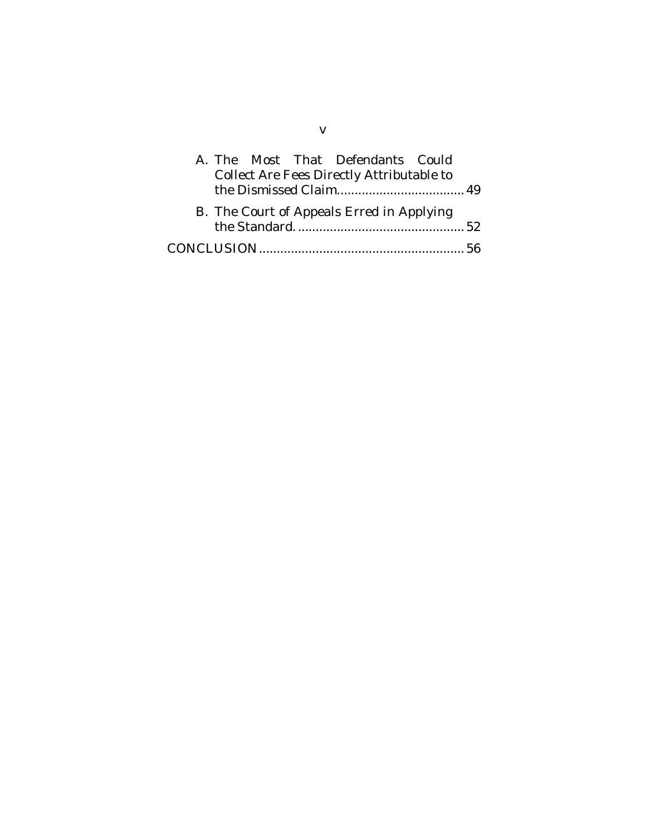|  |  | A. The Most That Defendants Could                |  |  |
|--|--|--------------------------------------------------|--|--|
|  |  | <b>Collect Are Fees Directly Attributable to</b> |  |  |
|  |  | B. The Court of Appeals Erred in Applying        |  |  |
|  |  |                                                  |  |  |
|  |  |                                                  |  |  |

v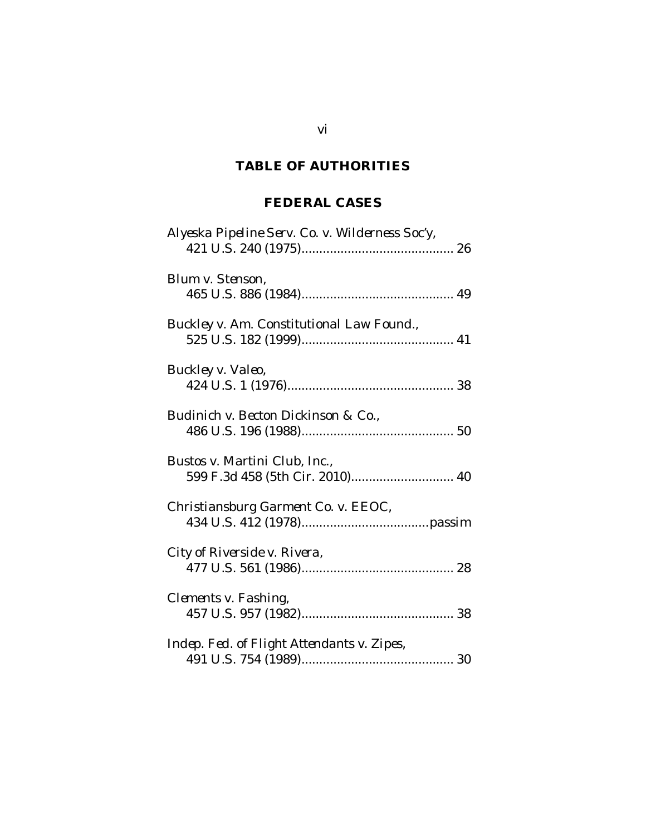# <span id="page-6-0"></span>**TABLE OF AUTHORITIES**

## **FEDERAL CASES**

| Alyeska Pipeline Serv. Co. v. Wilderness Soc'y,                  |
|------------------------------------------------------------------|
| Blum v. Stenson,                                                 |
| Buckley v. Am. Constitutional Law Found.,                        |
| Buckley v. Valeo,                                                |
| Budinich v. Becton Dickinson & Co.,                              |
| Bustos v. Martini Club, Inc.,<br>599 F.3d 458 (5th Cir. 2010) 40 |
| Christiansburg Garment Co. v. EEOC,                              |
| City of Riverside v. Rivera,                                     |
| Clements v. Fashing,                                             |
| Indep. Fed. of Flight Attendants v. Zipes,                       |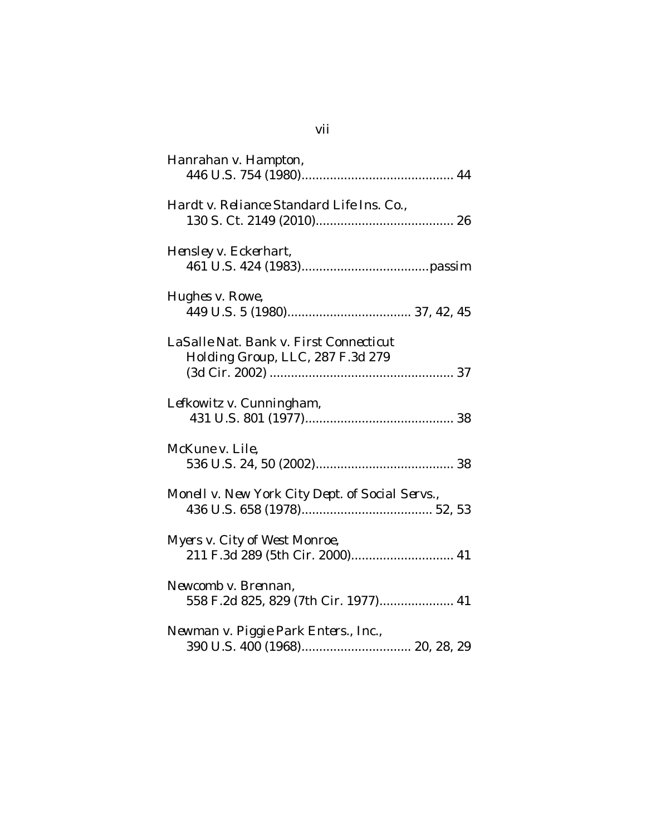| Hanrahan v. Hampton,                                                       |
|----------------------------------------------------------------------------|
| Hardt v. Reliance Standard Life Ins. Co.,                                  |
| Hensley v. Eckerhart,                                                      |
| Hughes v. Rowe,                                                            |
| LaSalle Nat. Bank v. First Connecticut<br>Holding Group, LLC, 287 F.3d 279 |
| Lefkowitz v. Cunningham,                                                   |
| McKune v. Lile,                                                            |
| Monell v. New York City Dept. of Social Servs.,                            |
| Myers v. City of West Monroe,<br>211 F.3d 289 (5th Cir. 2000) 41           |
| Newcomb v. Brennan,<br>558 F.2d 825, 829 (7th Cir. 1977) 41                |
| Newman v. Piggie Park Enters., Inc.,                                       |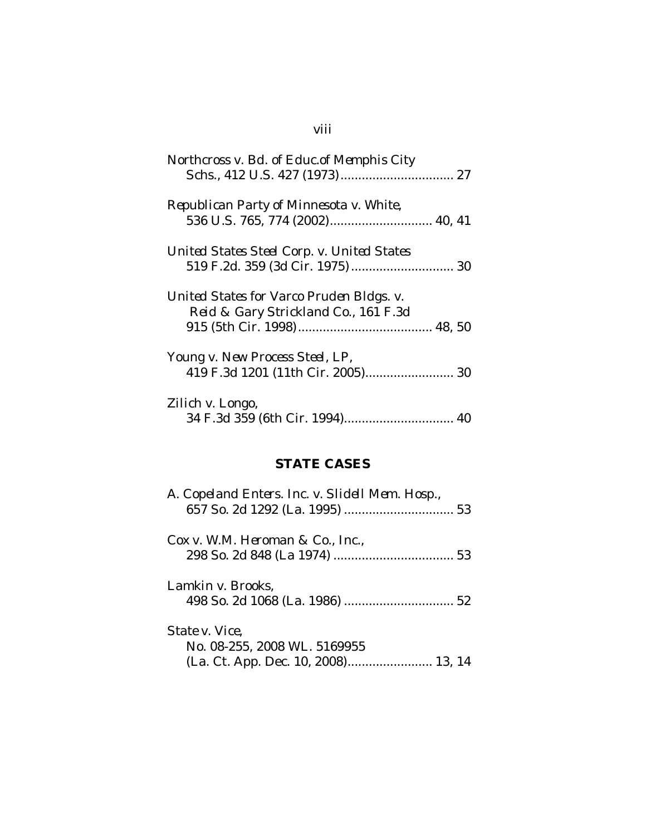# viii

| Northcross v. Bd. of Educ.of Memphis City                                                   |
|---------------------------------------------------------------------------------------------|
| Republican Party of Minnesota v. White,                                                     |
| United States Steel Corp. v. United States                                                  |
| United States for Varco Pruden Bldgs. v.<br><i>Reid &amp; Gary Strickland Co.,</i> 161 F.3d |
| Young v. New Process Steel, LP,<br>419 F.3d 1201 (11th Cir. 2005) 30                        |
| Zilich v. Longo,                                                                            |
| <b>STATE CASES</b>                                                                          |

| A. Copeland Enters. Inc. v. Slidell Mem. Hosp., |
|-------------------------------------------------|
| $Cox$ v. W.M. Heroman & Co., Inc.,              |
| Lamkin v. Brooks,                               |
| State v. Vice.<br>No. 08-255, 2008 WL. 5169955  |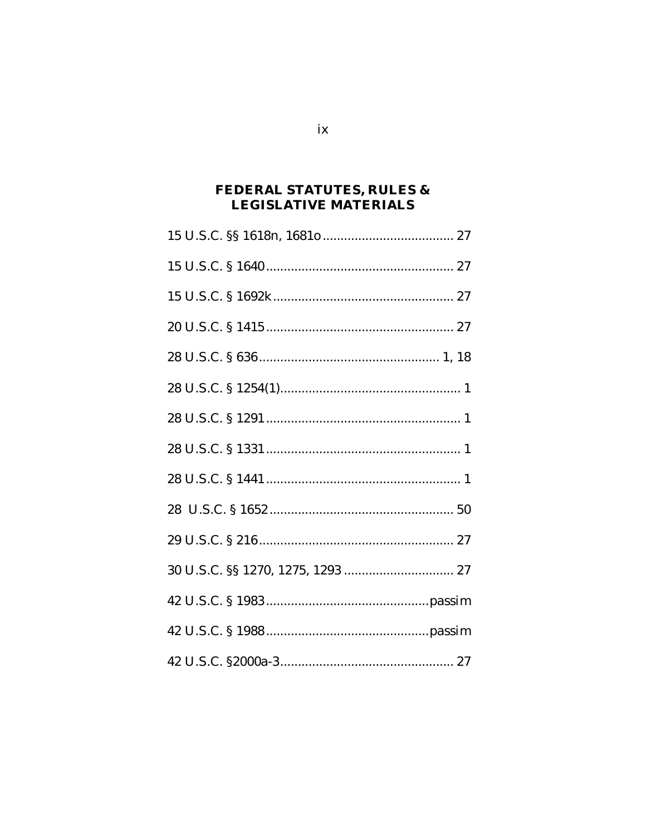## FEDERAL STATUTES, RULES  $\&$ LEGISLATIVE MATERIALS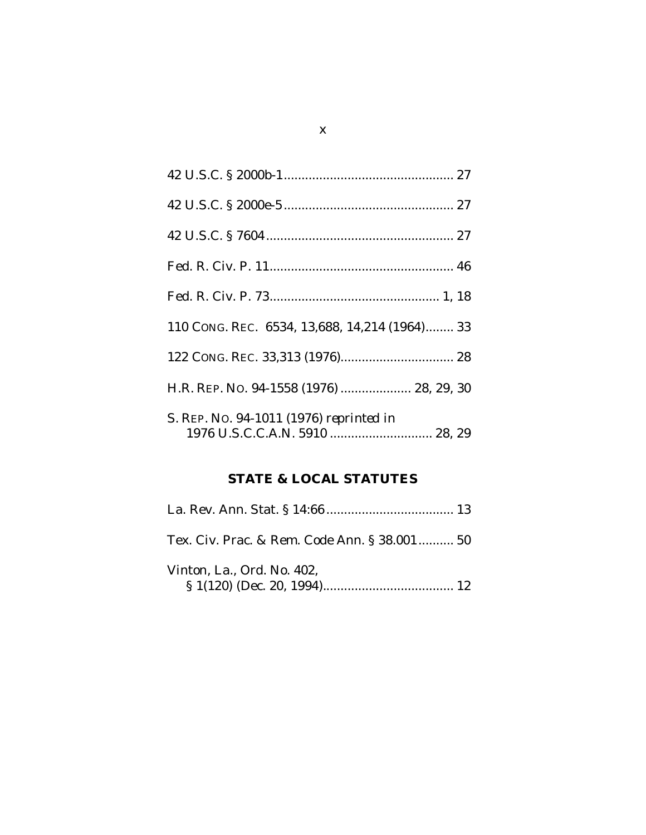| 110 CONG. REC. 6534, 13,688, 14,214 (1964) 33 |
|-----------------------------------------------|
|                                               |
| H.R. REP. No. 94-1558 (1976)  28, 29, 30      |
| S. REP. No. 94-1011 (1976) reprinted in       |

# **STATE & LOCAL STATUTES**

| Tex. Civ. Prac. & Rem. Code Ann. § 38.001 50 |  |
|----------------------------------------------|--|
| Vinton, La., Ord. No. 402,                   |  |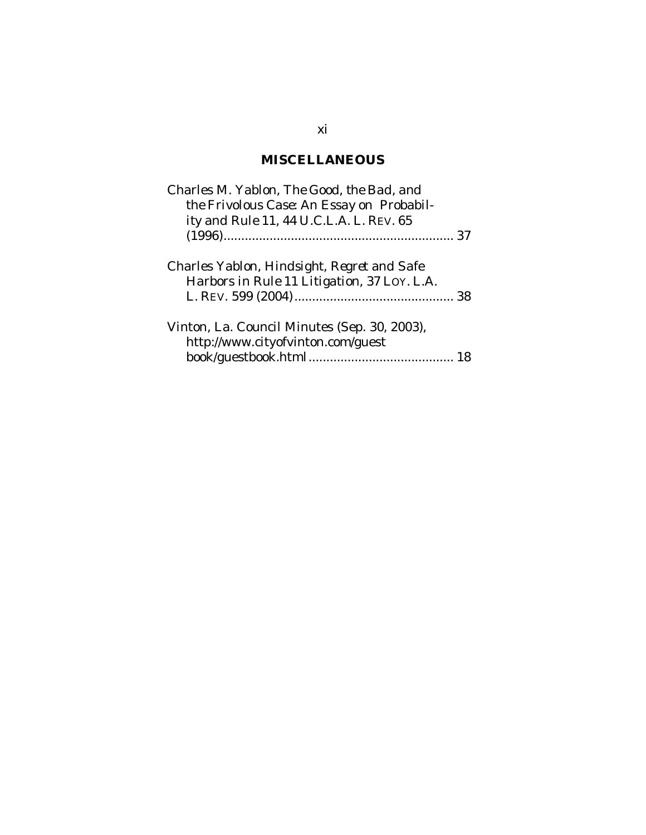# **MISCELLANEOUS**

| Charles M. Yablon, <i>The Good, the Bad, and</i><br>the Frivolous Case: An Essay on Probabil-<br>ity and Rule 11, 44 U.C.L.A. L. REV. 65 |  |
|------------------------------------------------------------------------------------------------------------------------------------------|--|
|                                                                                                                                          |  |
| Charles Yablon, <i>Hindsight, Regret and Safe</i><br>Harbors in Rule 11 Litigation, 37 LOY. L.A.                                         |  |
| Vinton, La. Council Minutes (Sep. 30, 2003),<br>http://www.cityofvinton.com/guest                                                        |  |

## xi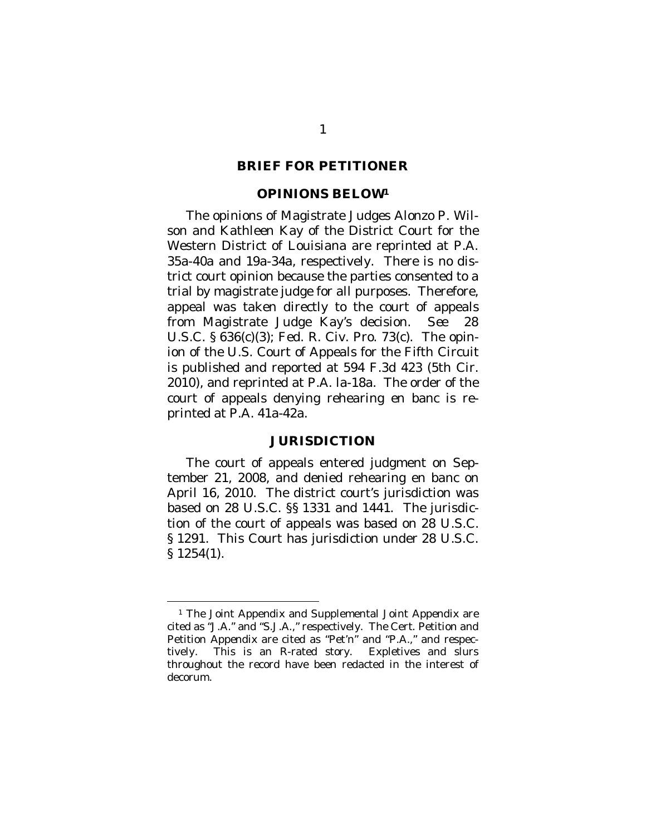#### **BRIEF FOR PETITIONER**

#### <span id="page-12-0"></span>**OPINIONS BELOW[1](#page-12-2)**

The opinions of Magistrate Judges Alonzo P. Wilson and Kathleen Kay of the District Court for the Western District of Louisiana are reprinted at P.A. 35a-40a and 19a-34a, respectively. There is no district court opinion because the parties consented to a trial by magistrate judge for all purposes. Therefore, appeal was taken directly to the court of appeals from Magistrate Judge Kay's decision. *See* 28 U.S.C. § 636(c)(3); Fed. R. Civ. Pro. 73(c). The opinion of the U.S. Court of Appeals for the Fifth Circuit is published and reported at 594 F.3d 423 (5th Cir. 2010), and reprinted at P.A. la-18a. The order of the court of appeals denying rehearing en banc is reprinted at P.A. 41a-42a.

#### <span id="page-12-1"></span>**JURISDICTION**

The court of appeals entered judgment on September 21, 2008, and denied rehearing en banc on April 16, 2010. The district court's jurisdiction was based on 28 U.S.C. §§ 1331 and 1441. The jurisdiction of the court of appeals was based on 28 U.S.C. § 1291. This Court has jurisdiction under 28 U.S.C. § 1254(1).

<span id="page-12-2"></span><sup>&</sup>lt;sup>1</sup> The Joint Appendix and Supplemental Joint Appendix are cited as "J.A." and "S.J.A.," respectively. The Cert. Petition and Petition Appendix are cited as "Pet'n" and "P.A.," and respectively. This is an R-rated story. Expletives and slurs throughout the record have been redacted in the interest of decorum.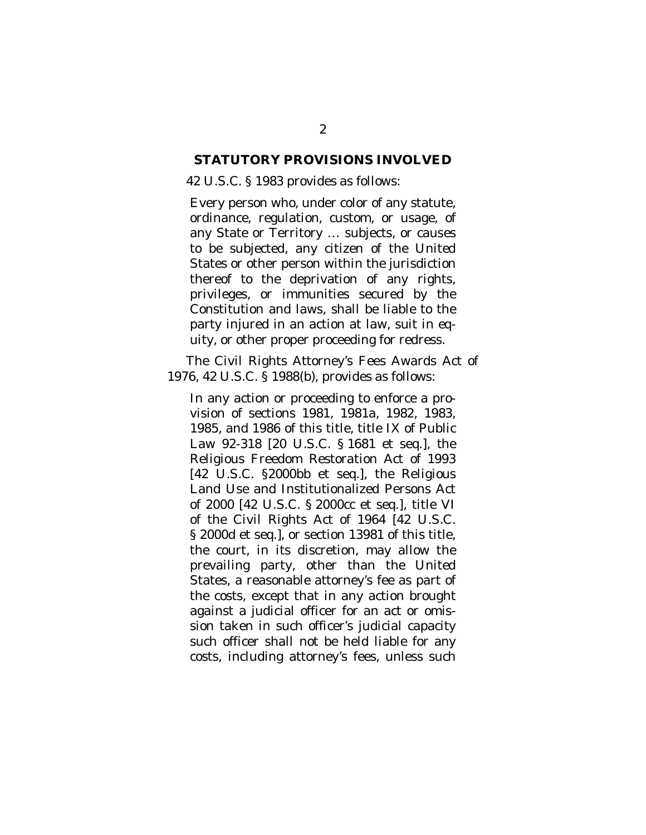#### <span id="page-13-0"></span>**STATUTORY PROVISIONS INVOLVED**

#### 42 U.S.C. § 1983 provides as follows:

Every person who, under color of any statute, ordinance, regulation, custom, or usage, of any State or Territory … subjects, or causes to be subjected, any citizen of the United States or other person within the jurisdiction thereof to the deprivation of any rights, privileges, or immunities secured by the Constitution and laws, shall be liable to the party injured in an action at law, suit in equity, or other proper proceeding for redress.

The Civil Rights Attorney's Fees Awards Act of 1976, 42 U.S.C. § 1988(b), provides as follows:

In any action or proceeding to enforce a provision of sections 1981, 1981a, 1982, 1983, 1985, and 1986 of this title, title IX of Public Law 92-318 [20 U.S.C. § 1681 et seq.], the Religious Freedom Restoration Act of 1993 [42 U.S.C. §2000bb et seq.], the Religious Land Use and Institutionalized Persons Act of 2000 [42 U.S.C. § 2000cc et seq.], title VI of the Civil Rights Act of 1964 [42 U.S.C. § 2000d et seq.], or section 13981 of this title, the court, in its discretion, may allow the prevailing party, other than the United States, a reasonable attorney's fee as part of the costs, except that in any action brought against a judicial officer for an act or omission taken in such officer's judicial capacity such officer shall not be held liable for any costs, including attorney's fees, unless such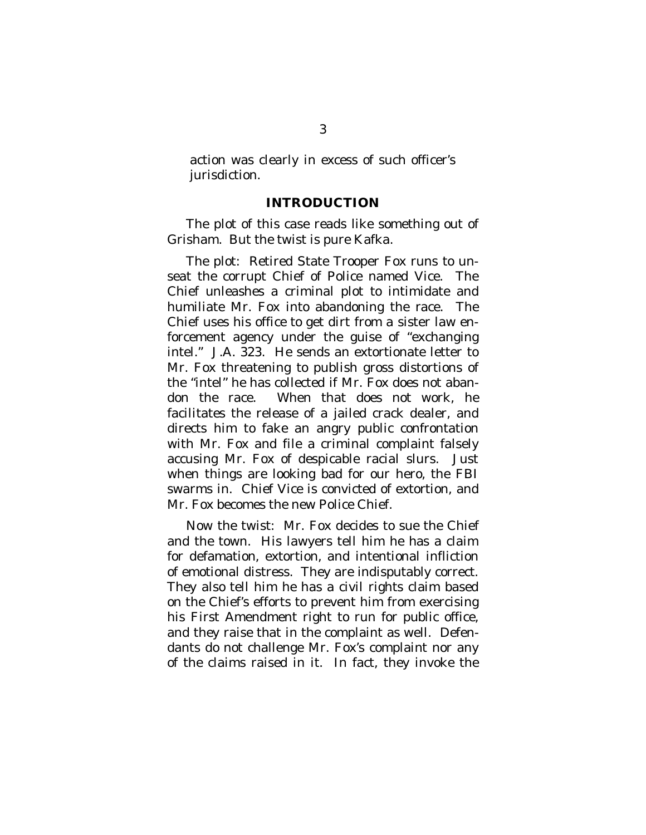action was clearly in excess of such officer's jurisdiction.

### <span id="page-14-0"></span>**INTRODUCTION**

The plot of this case reads like something out of Grisham. But the twist is pure Kafka.

The plot: Retired State Trooper Fox runs to unseat the corrupt Chief of Police named Vice. The Chief unleashes a criminal plot to intimidate and humiliate Mr. Fox into abandoning the race. The Chief uses his office to get dirt from a sister law enforcement agency under the guise of "exchanging intel." J.A. 323. He sends an extortionate letter to Mr. Fox threatening to publish gross distortions of the "intel" he has collected if Mr. Fox does not abandon the race. When that does not work, he facilitates the release of a jailed crack dealer, and directs him to fake an angry public confrontation with Mr. Fox and file a criminal complaint falsely accusing Mr. Fox of despicable racial slurs. Just when things are looking bad for our hero, the FBI swarms in. Chief Vice is convicted of extortion, and Mr. Fox becomes the new Police Chief.

Now the twist: Mr. Fox decides to sue the Chief and the town. His lawyers tell him he has a claim for defamation, extortion, and intentional infliction of emotional distress. They are indisputably correct. They also tell him he has a civil rights claim based on the Chief's efforts to prevent him from exercising his First Amendment right to run for public office, and they raise that in the complaint as well. Defendants do not challenge Mr. Fox's complaint nor any of the claims raised in it. In fact, they invoke the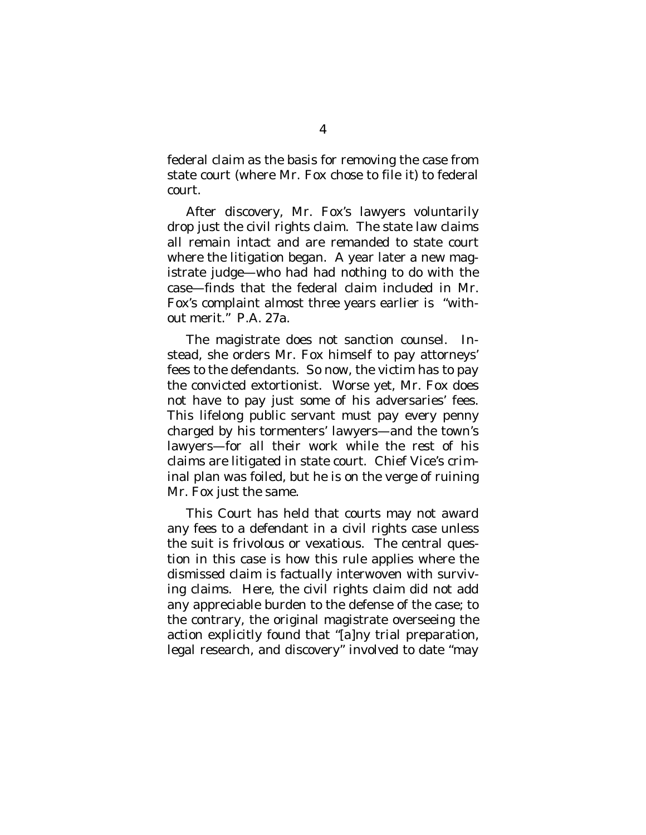federal claim as the basis for removing the case from state court (where Mr. Fox chose to file it) to federal court.

After discovery, Mr. Fox's lawyers voluntarily drop just the civil rights claim. The state law claims all remain intact and are remanded to state court where the litigation began. A year later a new magistrate judge—who had had nothing to do with the case—finds that the federal claim included in Mr. Fox's complaint almost three years earlier is "without merit." P.A. 27a.

The magistrate does not sanction counsel. Instead, she orders Mr. Fox himself to pay attorneys' fees to the defendants. So now, the victim has to pay the convicted extortionist. Worse yet, Mr. Fox does not have to pay just *some* of his adversaries' fees. This lifelong public servant must pay every penny charged by his tormenters' lawyers—and the town's lawyers—for all their work while the rest of his claims are litigated in state court. Chief Vice's criminal plan was foiled, but he is on the verge of ruining Mr. Fox just the same.

This Court has held that courts may not award any fees to a defendant in a civil rights case unless the suit is frivolous or vexatious. The central question in this case is how this rule applies where the dismissed claim is factually interwoven with surviving claims. Here, the civil rights claim did not add any appreciable burden to the defense of the case; to the contrary, the original magistrate overseeing the action explicitly found that "[a]ny trial preparation, legal research, and discovery" involved to date "may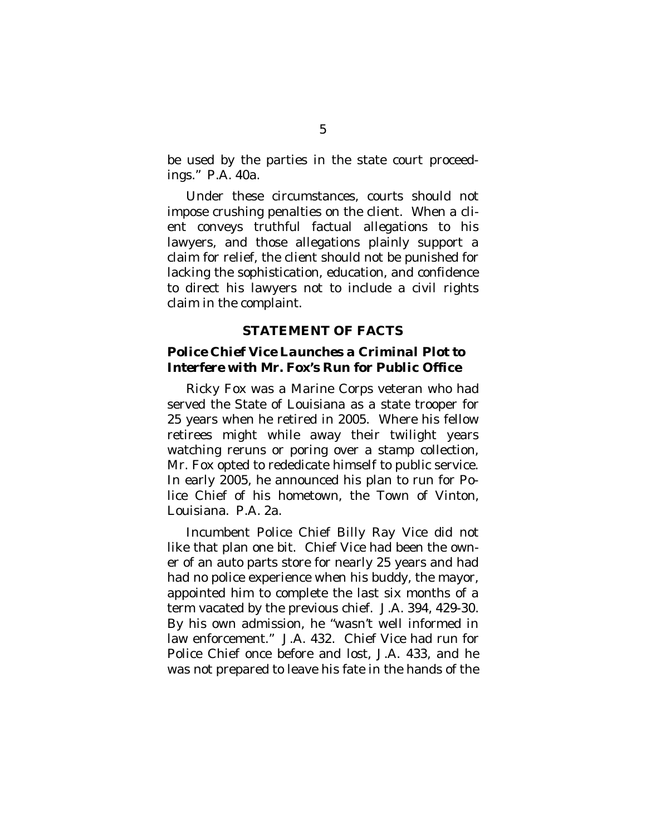be used by the parties in the state court proceedings." P.A. 40a.

Under these circumstances, courts should not impose crushing penalties on the client. When a client conveys truthful factual allegations to his lawyers, and those allegations plainly support a claim for relief, the client should not be punished for lacking the sophistication, education, and confidence to direct his lawyers not to include a civil rights claim in the complaint.

#### <span id="page-16-0"></span>**STATEMENT OF FACTS**

### <span id="page-16-1"></span>*Police Chief Vice Launches a Criminal Plot to Interfere with Mr. Fox's Run for Public Office*

Ricky Fox was a Marine Corps veteran who had served the State of Louisiana as a state trooper for 25 years when he retired in 2005. Where his fellow retirees might while away their twilight years watching reruns or poring over a stamp collection, Mr. Fox opted to rededicate himself to public service. In early 2005, he announced his plan to run for Police Chief of his hometown, the Town of Vinton, Louisiana. P.A. 2a.

Incumbent Police Chief Billy Ray Vice did not like that plan one bit. Chief Vice had been the owner of an auto parts store for nearly 25 years and had had no police experience when his buddy, the mayor, appointed him to complete the last six months of a term vacated by the previous chief. J.A. 394, 429-30. By his own admission, he "wasn't well informed in law enforcement." J.A. 432. Chief Vice had run for Police Chief once before and lost, J.A. 433, and he was not prepared to leave his fate in the hands of the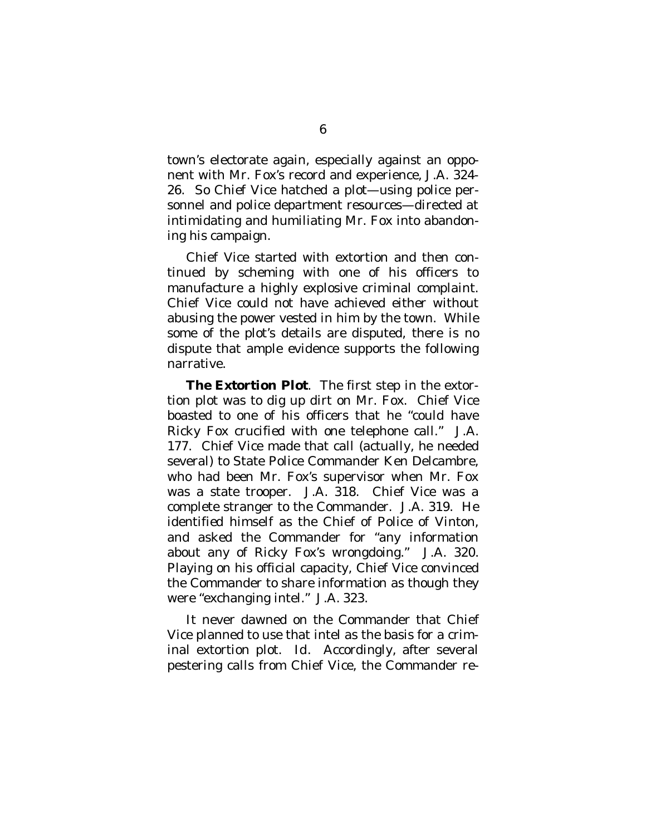town's electorate again, especially against an opponent with Mr. Fox's record and experience, J.A. 324- 26. So Chief Vice hatched a plot—using police personnel and police department resources—directed at intimidating and humiliating Mr. Fox into abandoning his campaign.

Chief Vice started with extortion and then continued by scheming with one of his officers to manufacture a highly explosive criminal complaint. Chief Vice could not have achieved either without abusing the power vested in him by the town. While some of the plot's details are disputed, there is no dispute that ample evidence supports the following narrative.

*The Extortion Plot*. The first step in the extortion plot was to dig up dirt on Mr. Fox. Chief Vice boasted to one of his officers that he "could have Ricky Fox crucified with one telephone call." J.A. 177. Chief Vice made that call (actually, he needed several) to State Police Commander Ken Delcambre, who had been Mr. Fox's supervisor when Mr. Fox was a state trooper. J.A. 318. Chief Vice was a complete stranger to the Commander. J.A. 319. He identified himself as the Chief of Police of Vinton, and asked the Commander for "any information about any of Ricky Fox's wrongdoing." J.A. 320. Playing on his official capacity, Chief Vice convinced the Commander to share information as though they were "exchanging intel." J.A. 323.

It never dawned on the Commander that Chief Vice planned to use that intel as the basis for a criminal extortion plot. *Id*. Accordingly, after several pestering calls from Chief Vice, the Commander re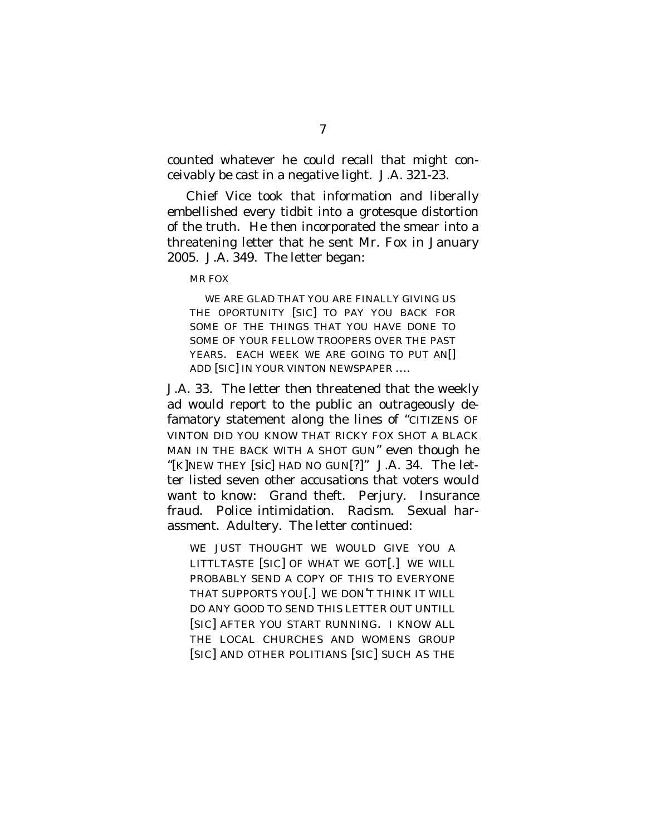counted whatever he could recall that might conceivably be cast in a negative light. J.A. 321-23.

Chief Vice took that information and liberally embellished every tidbit into a grotesque distortion of the truth. He then incorporated the smear into a threatening letter that he sent Mr. Fox in January 2005. J.A. 349. The letter began:

MR FOX

WE ARE GLAD THAT YOU ARE FINALLY GIVING US THE OPORTUNITY [SIC] TO PAY YOU BACK FOR SOME OF THE THINGS THAT YOU HAVE DONE TO SOME OF YOUR FELLOW TROOPERS OVER THE PAST YEARS. EACH WEEK WE ARE GOING TO PUT AN ADD [SIC] IN YOUR VINTON NEWSPAPER ….

J.A. 33. The letter then threatened that the weekly ad would report to the public an outrageously defamatory statement along the lines of "CITIZENS OF VINTON DID YOU KNOW THAT RICKY FOX SHOT A BLACK MAN IN THE BACK WITH A SHOT GUN" even though he "[K]NEW THEY [sic] HAD NO GUN[?]" J.A. 34. The letter listed seven other accusations that voters would want to know: Grand theft. Perjury. Insurance fraud. Police intimidation. Racism. Sexual harassment. Adultery. The letter continued:

WE JUST THOUGHT WE WOULD GIVE YOU A LITTLTASTE [SIC] OF WHAT WE GOT[.] WE WILL PROBABLY SEND A COPY OF THIS TO EVERYONE THAT SUPPORTS YOU[.] WE DON'T THINK IT WILL DO ANY GOOD TO SEND THIS LETTER OUT UNTILL [SIC] AFTER YOU START RUNNING. I KNOW ALL THE LOCAL CHURCHES AND WOMENS GROUP [SIC] AND OTHER POLITIANS [SIC] SUCH AS THE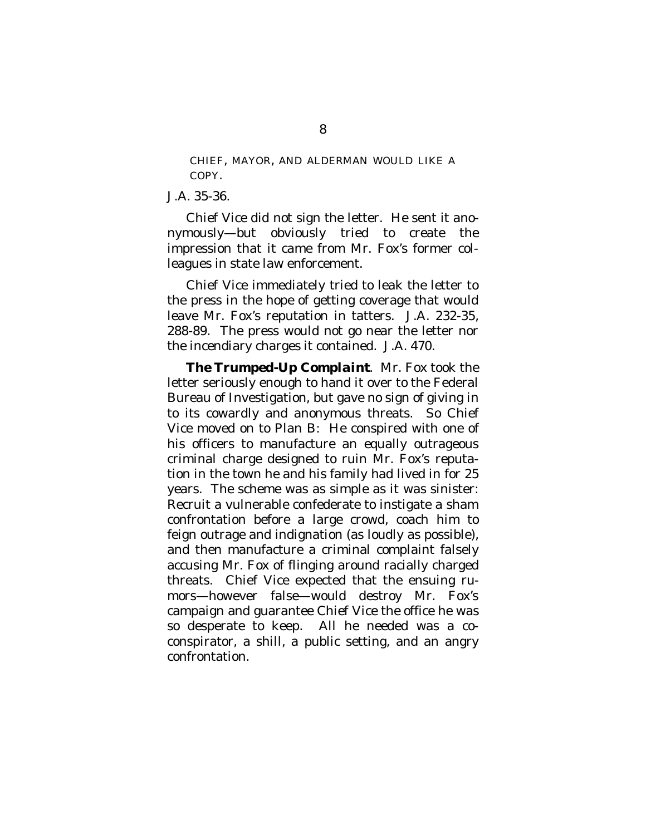CHIEF, MAYOR, AND ALDERMAN WOULD LIKE A COPY.

J.A. 35-36.

Chief Vice did not sign the letter. He sent it anonymously—but obviously tried to create the impression that it came from Mr. Fox's former colleagues in state law enforcement.

Chief Vice immediately tried to leak the letter to the press in the hope of getting coverage that would leave Mr. Fox's reputation in tatters. J.A. 232-35, 288-89. The press would not go near the letter nor the incendiary charges it contained. J.A. 470.

*The Trumped-Up Complaint*. Mr. Fox took the letter seriously enough to hand it over to the Federal Bureau of Investigation, but gave no sign of giving in to its cowardly and anonymous threats. So Chief Vice moved on to Plan B: He conspired with one of his officers to manufacture an equally outrageous criminal charge designed to ruin Mr. Fox's reputation in the town he and his family had lived in for 25 years. The scheme was as simple as it was sinister: Recruit a vulnerable confederate to instigate a sham confrontation before a large crowd, coach him to feign outrage and indignation (as loudly as possible), and then manufacture a criminal complaint falsely accusing Mr. Fox of flinging around racially charged threats. Chief Vice expected that the ensuing rumors—however false—would destroy Mr. Fox's campaign and guarantee Chief Vice the office he was so desperate to keep. All he needed was a coconspirator, a shill, a public setting, and an angry confrontation.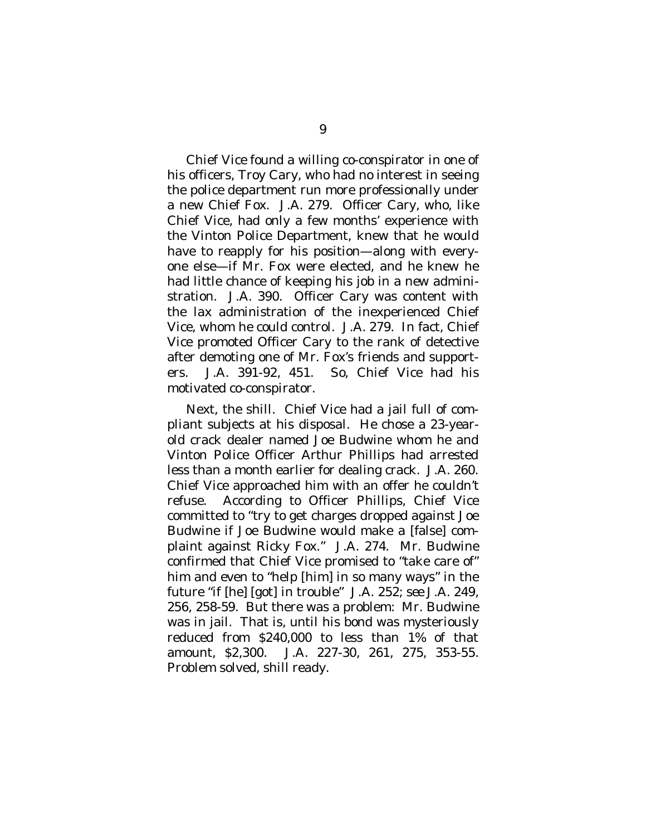Chief Vice found a willing co-conspirator in one of his officers, Troy Cary, who had no interest in seeing the police department run more professionally under a new Chief Fox. J.A. 279. Officer Cary, who, like Chief Vice, had only a few months' experience with the Vinton Police Department, knew that he would have to reapply for his position—along with everyone else—if Mr. Fox were elected, and he knew he had little chance of keeping his job in a new administration. J.A. 390. Officer Cary was content with the lax administration of the inexperienced Chief Vice, whom he could control. J.A. 279. In fact, Chief Vice promoted Officer Cary to the rank of detective after demoting one of Mr. Fox's friends and supporters. J.A. 391-92, 451. So, Chief Vice had his motivated co-conspirator.

Next, the shill. Chief Vice had a jail full of compliant subjects at his disposal. He chose a 23-yearold crack dealer named Joe Budwine whom he and Vinton Police Officer Arthur Phillips had arrested less than a month earlier for dealing crack. J.A. 260. Chief Vice approached him with an offer he couldn't refuse. According to Officer Phillips, Chief Vice committed to "try to get charges dropped against Joe Budwine if Joe Budwine would make a [false] complaint against Ricky Fox." J.A. 274. Mr. Budwine confirmed that Chief Vice promised to "take care of" him and even to "help [him] in so many ways" in the future "if [he] [got] in trouble" J.A. 252; *see* J.A. 249, 256, 258-59. But there was a problem: Mr. Budwine was in jail. That is, until his bond was mysteriously reduced from \$240,000 to less than 1% of that amount, \$2,300. J.A. 227-30, 261, 275, 353-55. Problem solved, shill ready.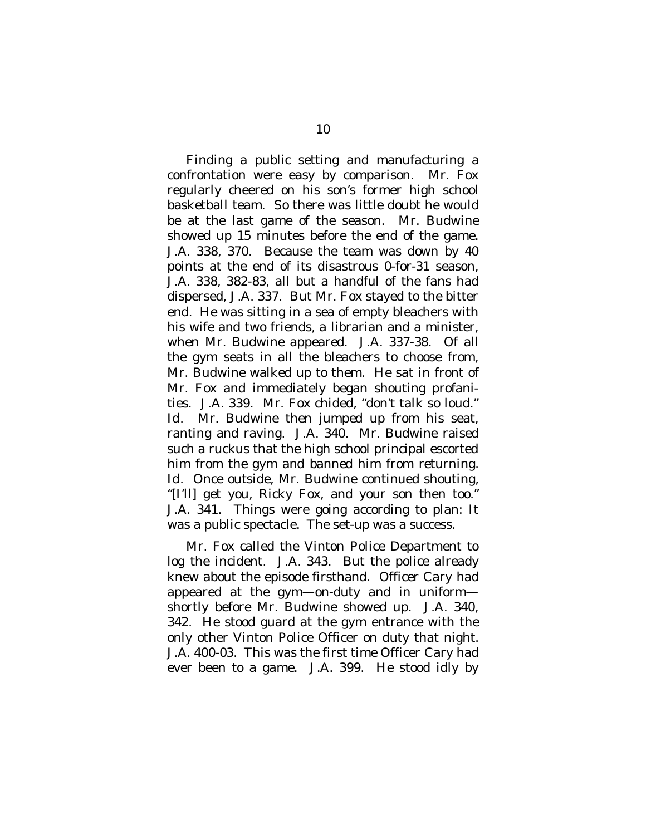Finding a public setting and manufacturing a confrontation were easy by comparison. Mr. Fox regularly cheered on his son's former high school basketball team. So there was little doubt he would be at the last game of the season. Mr. Budwine showed up 15 minutes before the end of the game. J.A. 338, 370. Because the team was down by 40 points at the end of its disastrous 0-for-31 season, J.A. 338, 382-83, all but a handful of the fans had dispersed, J.A. 337. But Mr. Fox stayed to the bitter end. He was sitting in a sea of empty bleachers with his wife and two friends, a librarian and a minister, when Mr. Budwine appeared. J.A. 337-38. Of all the gym seats in all the bleachers to choose from, Mr. Budwine walked up to them. He sat in front of Mr. Fox and immediately began shouting profanities. J.A. 339. Mr. Fox chided, "don't talk so loud." *Id*. Mr. Budwine then jumped up from his seat, ranting and raving. J.A. 340. Mr. Budwine raised such a ruckus that the high school principal escorted him from the gym and banned him from returning. *Id*. Once outside, Mr. Budwine continued shouting, "[I'll] get you, Ricky Fox, and your son then too." J.A. 341. Things were going according to plan: It was a public spectacle. The set-up was a success.

Mr. Fox called the Vinton Police Department to log the incident. J.A. 343. But the police already knew about the episode firsthand. Officer Cary had appeared at the gym—on-duty and in uniform shortly before Mr. Budwine showed up. J.A. 340, 342. He stood guard at the gym entrance with the only other Vinton Police Officer on duty that night. J.A. 400-03. This was the first time Officer Cary had ever been to a game. J.A. 399. He stood idly by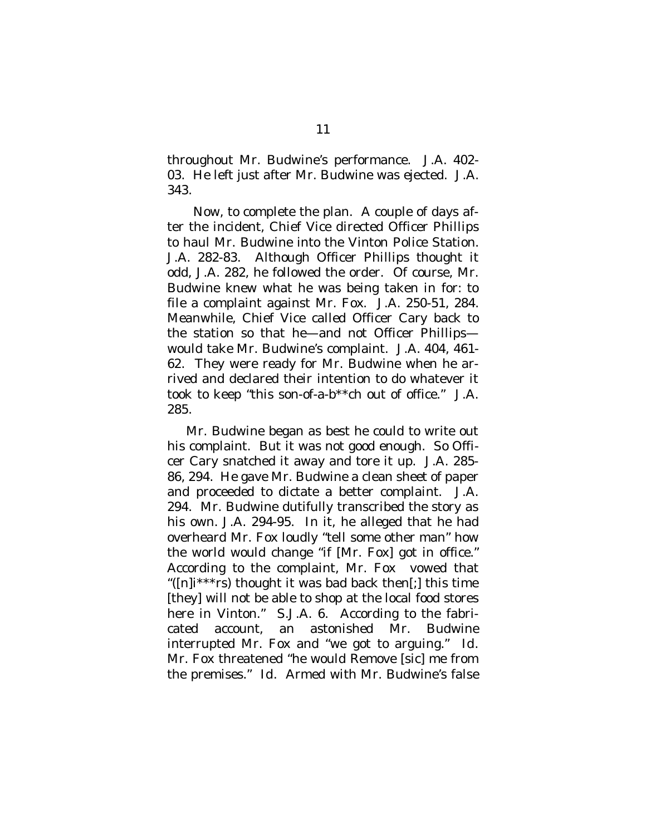throughout Mr. Budwine's performance. J.A. 402- 03. He left just after Mr. Budwine was ejected. J.A. 343.

Now, to complete the plan. A couple of days after the incident, Chief Vice directed Officer Phillips to haul Mr. Budwine into the Vinton Police Station. J.A. 282-83. Although Officer Phillips thought it odd, J.A. 282, he followed the order. Of course, Mr. Budwine knew what he was being taken in for: to file a complaint against Mr. Fox. J.A. 250-51, 284. Meanwhile, Chief Vice called Officer Cary back to the station so that he—and not Officer Phillips would take Mr. Budwine's complaint. J.A. 404, 461- 62. They were ready for Mr. Budwine when he arrived and declared their intention to do whatever it took to keep "this son-of-a-b\*\*ch out of office." J.A. 285.

Mr. Budwine began as best he could to write out his complaint. But it was not good enough. So Officer Cary snatched it away and tore it up. J.A. 285- 86, 294. He gave Mr. Budwine a clean sheet of paper and proceeded to dictate a better complaint. J.A. 294. Mr. Budwine dutifully transcribed the story as his own. J.A. 294-95. In it, he alleged that he had overheard Mr. Fox loudly "tell some other man" how the world would change "if [Mr. Fox] got in office." According to the complaint, Mr. Fox vowed that "( $[n]$ i<sup>\*\*\*</sup>rs) thought it was bad back then[;] this time [they] will not be able to shop at the local food stores here in Vinton." S.J.A. 6. According to the fabricated account, an astonished Mr. Budwine interrupted Mr. Fox and "we got to arguing." *Id.* Mr. Fox threatened "he would Remove [sic] me from the premises." *Id.* Armed with Mr. Budwine's false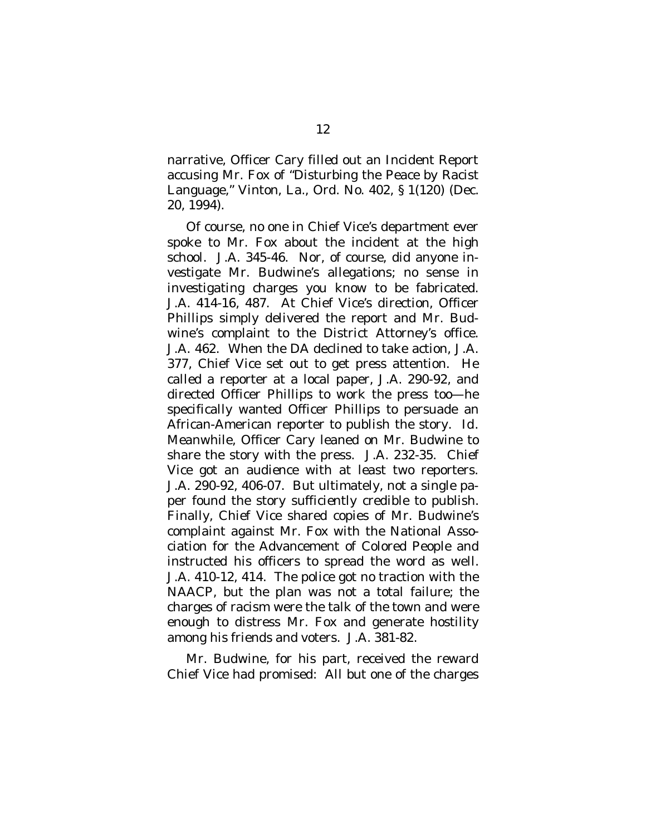narrative, Officer Cary filled out an Incident Report accusing Mr. Fox of "Disturbing the Peace by Racist Language," Vinton, La., Ord. No. 402, § 1(120) (Dec. 20, 1994).

Of course, no one in Chief Vice's department ever spoke to Mr. Fox about the incident at the high school. J.A. 345-46. Nor, of course, did anyone investigate Mr. Budwine's allegations; no sense in investigating charges you know to be fabricated. J.A. 414-16, 487. At Chief Vice's direction, Officer Phillips simply delivered the report and Mr. Budwine's complaint to the District Attorney's office. J.A. 462. When the DA declined to take action, J.A. 377, Chief Vice set out to get press attention. He called a reporter at a local paper, J.A. 290-92, and directed Officer Phillips to work the press too—he specifically wanted Officer Phillips to persuade an African-American reporter to publish the story. *Id.* Meanwhile, Officer Cary leaned on Mr. Budwine to share the story with the press. J.A. 232-35. Chief Vice got an audience with at least two reporters. J.A. 290-92, 406-07. But ultimately, not a single paper found the story sufficiently credible to publish. Finally, Chief Vice shared copies of Mr. Budwine's complaint against Mr. Fox with the National Association for the Advancement of Colored People and instructed his officers to spread the word as well. J.A. 410-12, 414. The police got no traction with the NAACP, but the plan was not a total failure; the charges of racism were the talk of the town and were enough to distress Mr. Fox and generate hostility among his friends and voters. J.A. 381-82.

Mr. Budwine, for his part, received the reward Chief Vice had promised: All but one of the charges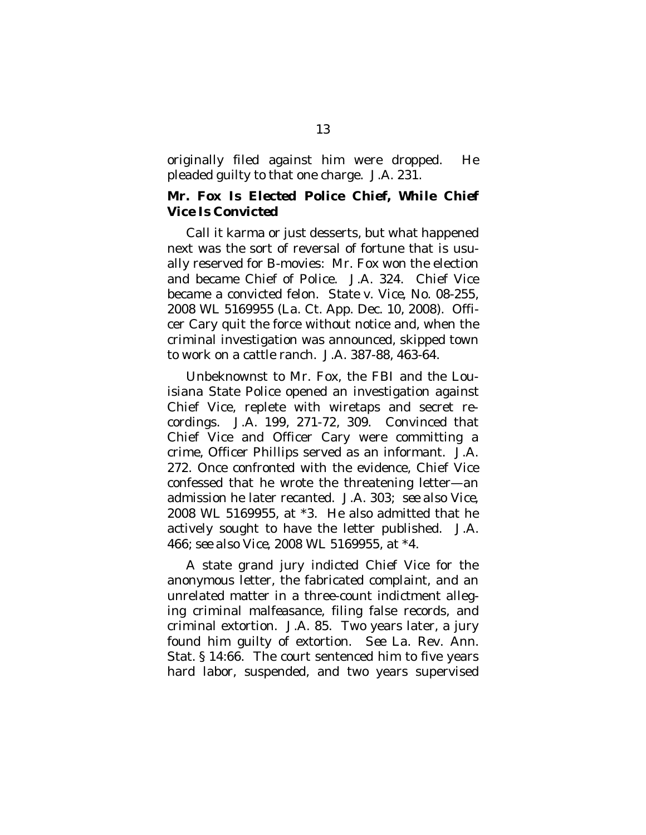originally filed against him were dropped. He pleaded guilty to that one charge. J.A. 231.

## <span id="page-24-0"></span>*Mr. Fox Is Elected Police Chief, While Chief Vice Is Convicted*

Call it karma or just desserts, but what happened next was the sort of reversal of fortune that is usually reserved for B-movies: Mr. Fox won the election and became Chief of Police. J.A. 324. Chief Vice became a convicted felon. *State v. Vice*, No. 08-255, 2008 WL 5169955 (La. Ct. App. Dec. 10, 2008). Officer Cary quit the force without notice and, when the criminal investigation was announced, skipped town to work on a cattle ranch. J.A. 387-88, 463-64.

Unbeknownst to Mr. Fox, the FBI and the Louisiana State Police opened an investigation against Chief Vice, replete with wiretaps and secret recordings. J.A. 199, 271-72, 309. Convinced that Chief Vice and Officer Cary were committing a crime, Officer Phillips served as an informant. J.A. 272. Once confronted with the evidence, Chief Vice confessed that he wrote the threatening letter—an admission he later recanted. J.A. 303; *see also Vice*, 2008 WL 5169955, at \*3. He also admitted that he actively sought to have the letter published. J.A. 466; *see also Vice*, 2008 WL 5169955, at \*4.

A state grand jury indicted Chief Vice for the anonymous letter, the fabricated complaint, and an unrelated matter in a three-count indictment alleging criminal malfeasance, filing false records, and criminal extortion. J.A. 85. Two years later, a jury found him guilty of extortion. *See* La. Rev. Ann. Stat. § 14:66. The court sentenced him to five years hard labor, suspended, and two years supervised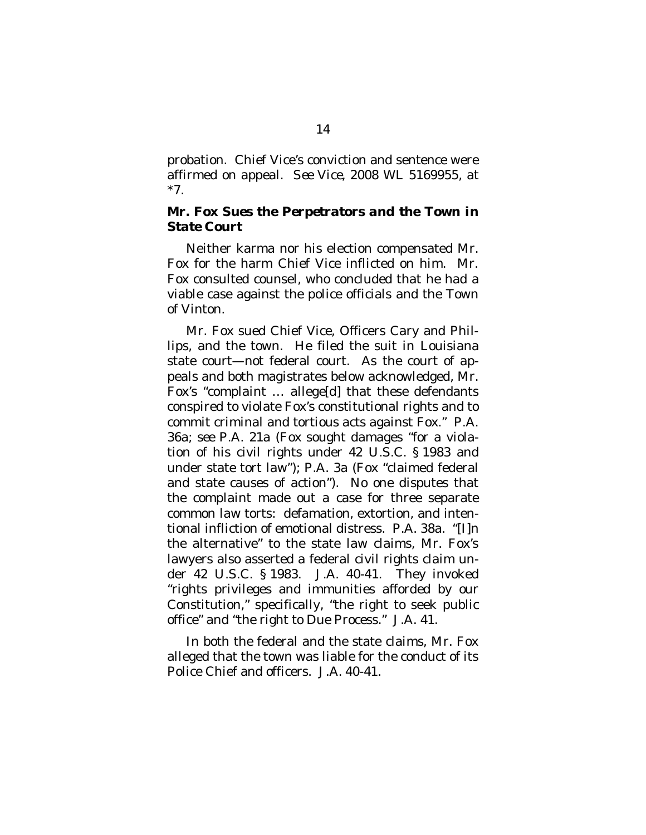probation. Chief Vice's conviction and sentence were affirmed on appeal. *See Vice*, 2008 WL 5169955, at \*7.

### <span id="page-25-0"></span>*Mr. Fox Sues the Perpetrators and the Town in State Court*

Neither karma nor his election compensated Mr. Fox for the harm Chief Vice inflicted on him. Mr. Fox consulted counsel, who concluded that he had a viable case against the police officials and the Town of Vinton.

Mr. Fox sued Chief Vice, Officers Cary and Phillips, and the town. He filed the suit in Louisiana state court—not federal court. As the court of appeals and both magistrates below acknowledged, Mr. Fox's "complaint … allege[d] that these defendants conspired to violate Fox's constitutional rights and to commit criminal and tortious acts against Fox." P.A. 36a; *see* P.A. 21a (Fox sought damages "for a violation of his civil rights under 42 U.S.C. § 1983 and under state tort law"); P.A. 3a (Fox "claimed federal and state causes of action"). No one disputes that the complaint made out a case for three separate common law torts: defamation, extortion, and intentional infliction of emotional distress. P.A. 38a. "[I]n the alternative" to the state law claims, Mr. Fox's lawyers also asserted a federal civil rights claim under 42 U.S.C. § 1983. J.A. 40-41. They invoked "rights privileges and immunities afforded by our Constitution," specifically, "the right to seek public office" and "the right to Due Process." J.A. 41.

In both the federal and the state claims, Mr. Fox alleged that the town was liable for the conduct of its Police Chief and officers. J.A. 40-41.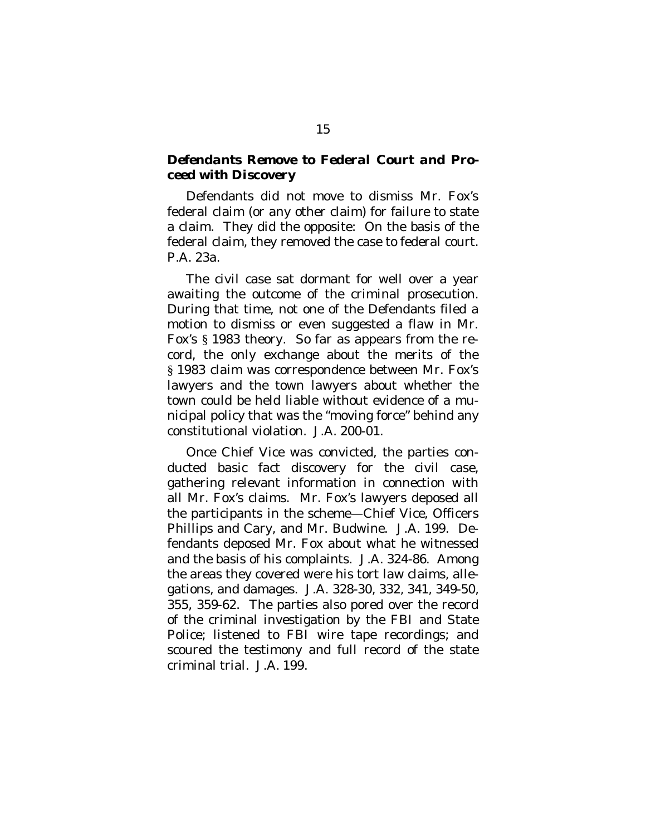## <span id="page-26-0"></span>*Defendants Remove to Federal Court and Proceed with Discovery*

Defendants did not move to dismiss Mr. Fox's federal claim (or any other claim) for failure to state a claim. They did the opposite: On the basis of the federal claim, they removed the case to federal court. P.A. 23a.

The civil case sat dormant for well over a year awaiting the outcome of the criminal prosecution. During that time, not one of the Defendants filed a motion to dismiss or even suggested a flaw in Mr. Fox's § 1983 theory. So far as appears from the record, the only exchange about the merits of the § 1983 claim was correspondence between Mr. Fox's lawyers and the town lawyers about whether the town could be held liable without evidence of a municipal policy that was the "moving force" behind any constitutional violation. J.A. 200-01.

Once Chief Vice was convicted, the parties conducted basic fact discovery for the civil case, gathering relevant information in connection with all Mr. Fox's claims. Mr. Fox's lawyers deposed all the participants in the scheme—Chief Vice, Officers Phillips and Cary, and Mr. Budwine. J.A. 199. Defendants deposed Mr. Fox about what he witnessed and the basis of his complaints. J.A. 324-86. Among the areas they covered were his tort law claims, allegations, and damages. J.A. 328-30, 332, 341, 349-50, 355, 359-62. The parties also pored over the record of the criminal investigation by the FBI and State Police; listened to FBI wire tape recordings; and scoured the testimony and full record of the state criminal trial. J.A. 199.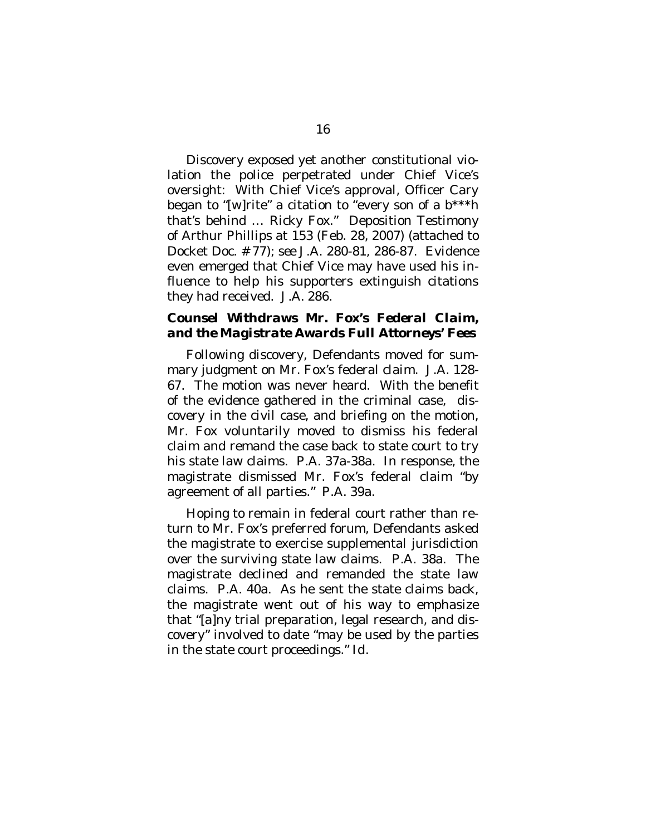Discovery exposed yet another constitutional violation the police perpetrated under Chief Vice's oversight: With Chief Vice's approval, Officer Cary began to "[w]rite" a citation to "every son of a  $b***h$ that's behind … Ricky Fox." Deposition Testimony of Arthur Phillips at 153 (Feb. 28, 2007) (attached to Docket Doc. # 77); *see* J.A. 280-81, 286-87. Evidence even emerged that Chief Vice may have used his influence to help his supporters extinguish citations they had received. J.A. 286.

### <span id="page-27-0"></span>*Counsel Withdraws Mr. Fox's Federal Claim, and the Magistrate Awards Full Attorneys' Fees*

Following discovery, Defendants moved for summary judgment on Mr. Fox's federal claim. J.A. 128- 67. The motion was never heard. With the benefit of the evidence gathered in the criminal case, discovery in the civil case, and briefing on the motion, Mr. Fox voluntarily moved to dismiss his federal claim and remand the case back to state court to try his state law claims. P.A. 37a-38a. In response, the magistrate dismissed Mr. Fox's federal claim "by agreement of all parties." P.A. 39a.

Hoping to remain in federal court rather than return to Mr. Fox's preferred forum, Defendants asked the magistrate to exercise supplemental jurisdiction over the surviving state law claims. P.A. 38a. The magistrate declined and remanded the state law claims. P.A. 40a. As he sent the state claims back, the magistrate went out of his way to emphasize that "[a]ny trial preparation, legal research, and discovery" involved to date "may be used by the parties in the state court proceedings." *Id.*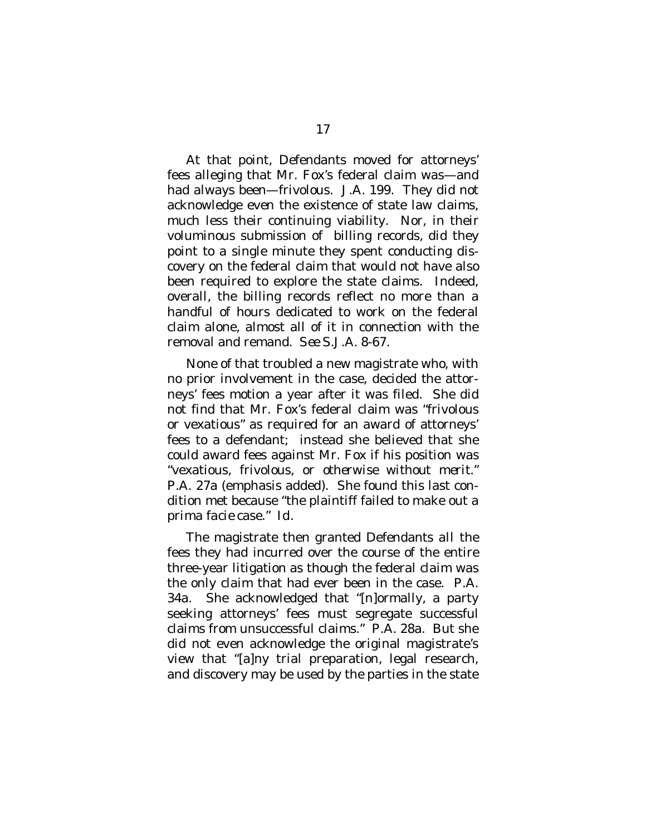At that point, Defendants moved for attorneys' fees alleging that Mr. Fox's federal claim was—and had always been—frivolous. J.A. 199. They did not acknowledge even the existence of state law claims, much less their continuing viability. Nor, in their voluminous submission of billing records, did they point to a single minute they spent conducting discovery on the federal claim that would not have also been required to explore the state claims. Indeed, overall, the billing records reflect no more than a handful of hours dedicated to work on the federal claim alone, almost all of it in connection with the removal and remand. *See* S.J.A. 8-67.

None of that troubled a new magistrate who, with no prior involvement in the case, decided the attorneys' fees motion a year after it was filed. She did not find that Mr. Fox's federal claim was "frivolous or vexatious" as required for an award of attorneys' fees to a defendant; instead she believed that she could award fees against Mr. Fox if his position was "vexatious, frivolous, *or otherwise without merit.*" P.A. 27a (emphasis added). She found this last condition met because "the plaintiff failed to make out a *prima facie* case." *Id.*

The magistrate then granted Defendants *all* the fees they had incurred over the course of the entire three-year litigation as though the federal claim was the only claim that had ever been in the case. P.A. 34a. She acknowledged that "[n]ormally, a party seeking attorneys' fees must segregate successful claims from unsuccessful claims." P.A. 28a. But she did not even acknowledge the original magistrate's view that "[a]ny trial preparation, legal research, and discovery may be used by the parties in the state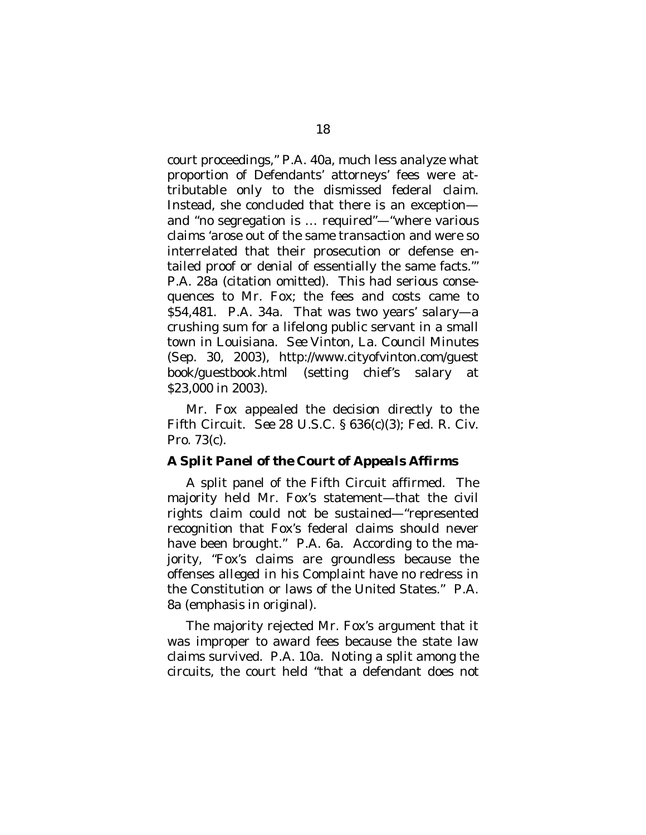court proceedings," P.A. 40a, much less analyze what proportion of Defendants' attorneys' fees were attributable only to the dismissed federal claim. Instead, she concluded that there is an exception and "no segregation is … required"—"where various claims 'arose out of the same transaction and were so interrelated that their prosecution or defense entailed proof or denial of essentially the same facts.'" P.A. 28a (citation omitted). This had serious consequences to Mr. Fox; the fees and costs came to \$54,481. P.A. 34a. That was two years' salary—a crushing sum for a lifelong public servant in a small town in Louisiana. *See* Vinton, La. Council Minutes (Sep. 30, 2003), http://www.cityofvinton.com/guest book/guestbook.html (setting chief's salary at \$23,000 in 2003).

Mr. Fox appealed the decision directly to the Fifth Circuit. *See* 28 U.S.C. § 636(c)(3); Fed. R. Civ. Pro. 73(c).

### <span id="page-29-0"></span>*A Split Panel of the Court of Appeals Affirms*

A split panel of the Fifth Circuit affirmed. The majority held Mr. Fox's statement—that the civil rights claim could not be sustained—"represented recognition that Fox's federal claims should never have been brought." P.A. 6a. According to the majority, "Fox's claims are groundless because the offenses *alleged in his Complaint* have no redress in the Constitution or laws of the United States." P.A. 8a (emphasis in original).

The majority rejected Mr. Fox's argument that it was improper to award fees because the state law claims survived. P.A. 10a. Noting a split among the circuits, the court held "that a defendant does not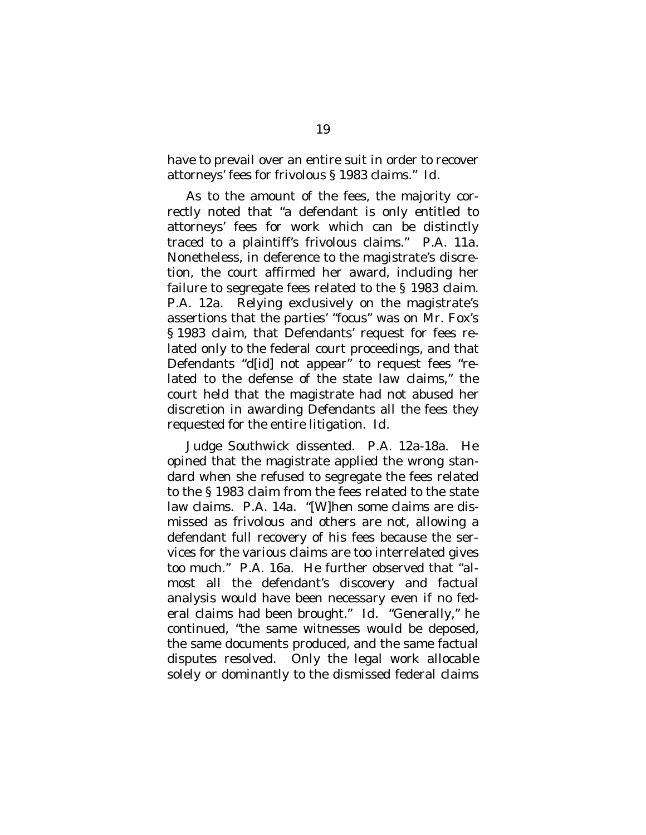have to prevail over an entire suit in order to recover attorneys' fees for frivolous § 1983 claims." *Id*.

As to the amount of the fees, the majority correctly noted that "a defendant is only entitled to attorneys' fees for work which can be distinctly traced to a plaintiff's frivolous claims." P.A. 11a. Nonetheless, in deference to the magistrate's discretion, the court affirmed her award, including her failure to segregate fees related to the § 1983 claim. P.A. 12a. Relying exclusively on the magistrate's assertions that the parties' "focus" was on Mr. Fox's § 1983 claim, that Defendants' request for fees related only to the federal court proceedings, and that Defendants "d[id] not appear" to request fees "related to the defense of the state law claims," the court held that the magistrate had not abused her discretion in awarding Defendants all the fees they requested for the entire litigation. *Id.*

Judge Southwick dissented. P.A. 12a-18a. He opined that the magistrate applied the wrong standard when she refused to segregate the fees related to the § 1983 claim from the fees related to the state law claims. P.A. 14a. "[W]hen some claims are dismissed as frivolous and others are not, allowing a defendant full recovery of his fees because the services for the various claims are too interrelated gives too much." P.A. 16a. He further observed that "almost all the defendant's discovery and factual analysis would have been necessary even if no federal claims had been brought." *Id*. "Generally," he continued, "the same witnesses would be deposed, the same documents produced, and the same factual disputes resolved. Only the legal work allocable solely or dominantly to the dismissed federal claims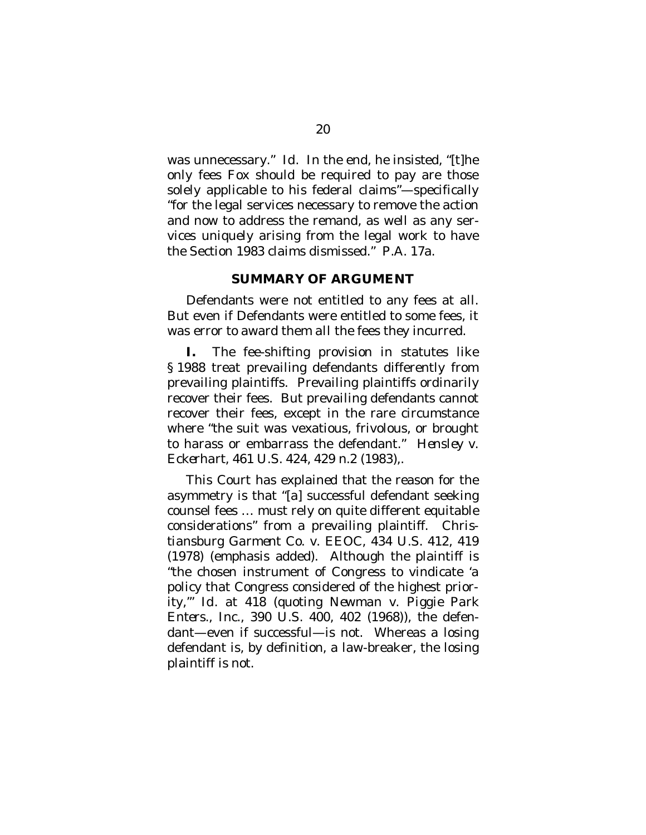was unnecessary." *Id*. In the end, he insisted, "[t]he only fees Fox should be required to pay are those solely applicable to his federal claims"—specifically "for the legal services necessary to remove the action and now to address the remand, as well as any services uniquely arising from the legal work to have the Section 1983 claims dismissed." P.A. 17a.

#### <span id="page-31-0"></span>**SUMMARY OF ARGUMENT**

Defendants were not entitled to any fees at all. But even if Defendants were entitled to some fees, it was error to award them *all* the fees they incurred.

**I.** The fee-shifting provision in statutes like § 1988 treat prevailing defendants differently from prevailing plaintiffs. Prevailing plaintiffs ordinarily recover their fees. But prevailing defendants cannot recover their fees, except in the rare circumstance where "the suit was vexatious, frivolous, or brought to harass or embarrass the defendant." *Hensley v. Eckerhart,* 461 U.S. 424, 429 n.2 (1983)*,*.

This Court has explained that the reason for the asymmetry is that "[a] successful defendant seeking counsel fees … must rely on quite different equitable considerations" from a prevailing plaintiff. *Christiansburg Garment Co. v. EEOC,* 434 U.S. 412, 419 (1978) (emphasis added). Although the plaintiff is "the chosen instrument of Congress to vindicate 'a policy that Congress considered of the highest priority,'" *Id.* at 418 (quoting *Newman v. Piggie Park Enters., Inc.*, 390 U.S. 400, 402 (1968)), the defendant—even if successful—is not. Whereas a losing defendant is, by definition, a law-breaker, the losing plaintiff is not.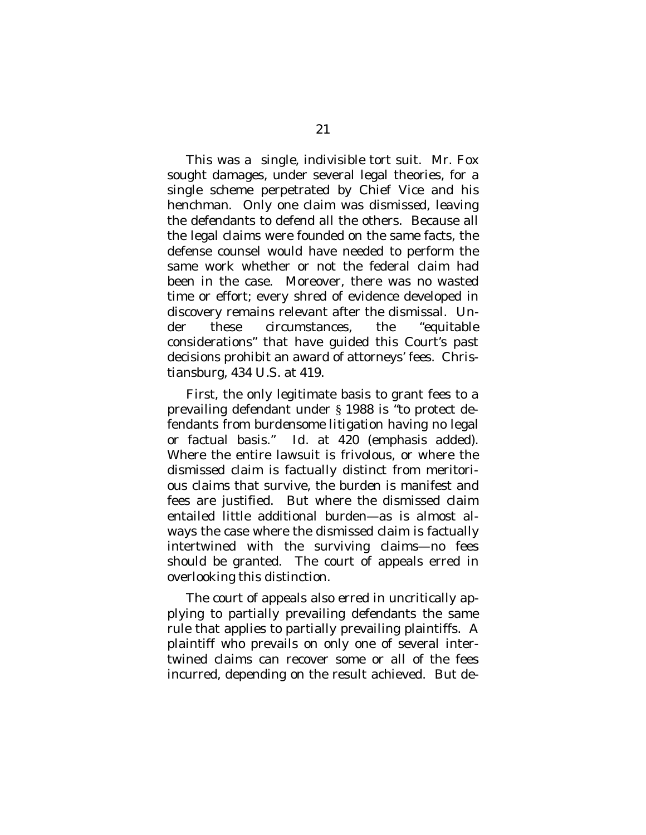This was a single, indivisible tort suit. Mr. Fox sought damages, under several legal theories, for a single scheme perpetrated by Chief Vice and his henchman. Only one claim was dismissed, leaving the defendants to defend all the others. Because all the legal claims were founded on the same facts, the defense counsel would have needed to perform the same work whether or not the federal claim had been in the case. Moreover, there was no wasted time or effort; every shred of evidence developed in discovery remains relevant after the dismissal. Under these circumstances, the "equitable considerations" that have guided this Court's past decisions prohibit an award of attorneys' fees. *Christiansburg*, 434 U.S. at 419.

First, the only legitimate basis to grant fees to a prevailing defendant under § 1988 is "to protect defendants *from burdensome litigation* having no legal or factual basis." *Id.* at 420 (emphasis added). Where the entire lawsuit is frivolous, or where the dismissed claim is factually distinct from meritorious claims that survive, the burden is manifest and fees are justified. But where the dismissed claim entailed little additional burden—as is almost always the case where the dismissed claim is factually intertwined with the surviving claims—no fees should be granted. The court of appeals erred in overlooking this distinction.

The court of appeals also erred in uncritically applying to partially prevailing defendants the same rule that applies to partially prevailing plaintiffs. A plaintiff who prevails on only one of several intertwined claims can recover some or all of the fees incurred, depending on the result achieved. But de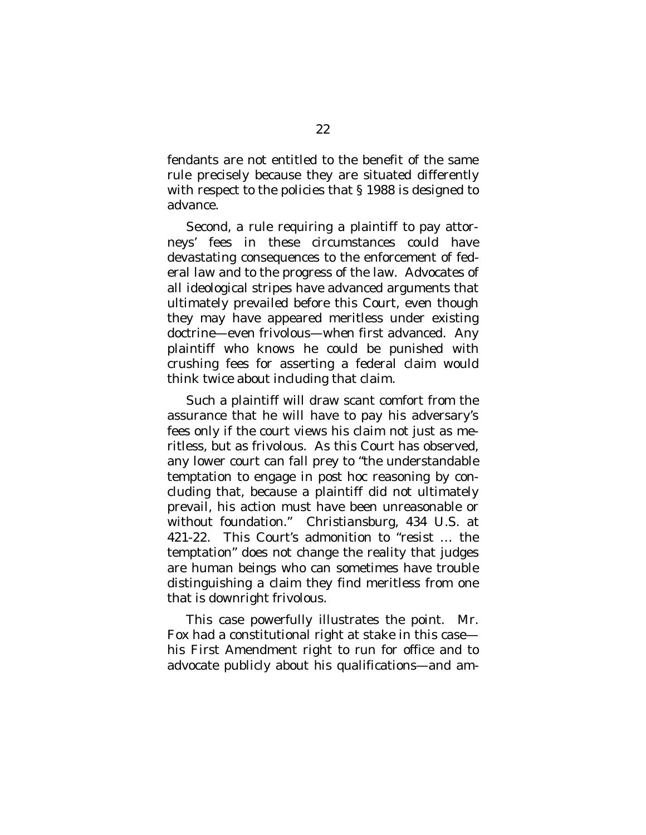fendants are not entitled to the benefit of the same rule precisely because they are situated differently with respect to the policies that § 1988 is designed to advance.

Second, a rule requiring a plaintiff to pay attorneys' fees in these circumstances could have devastating consequences to the enforcement of federal law and to the progress of the law. Advocates of all ideological stripes have advanced arguments that ultimately prevailed before this Court, even though they may have appeared meritless under existing doctrine—even frivolous—when first advanced. Any plaintiff who knows he could be punished with crushing fees for asserting a federal claim would think twice about including that claim.

Such a plaintiff will draw scant comfort from the assurance that he will have to pay his adversary's fees only if the court views his claim not just as meritless, but as frivolous. As this Court has observed, any lower court can fall prey to "the understandable temptation to engage in *post hoc* reasoning by concluding that, because a plaintiff did not ultimately prevail, his action must have been unreasonable or without foundation." *Christiansburg*, 434 U.S. at 421-22. This Court's admonition to "resist … the temptation" does not change the reality that judges are human beings who can sometimes have trouble distinguishing a claim they find meritless from one that is downright frivolous.

This case powerfully illustrates the point. Mr. Fox had a constitutional right at stake in this case his First Amendment right to run for office and to advocate publicly about his qualifications—and am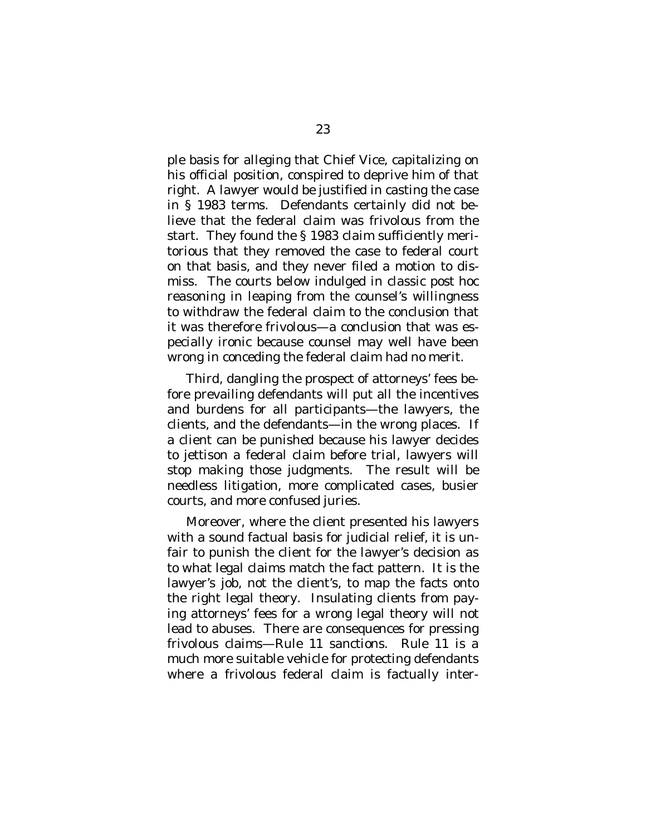ple basis for alleging that Chief Vice, capitalizing on his official position, conspired to deprive him of that right. A lawyer would be justified in casting the case in § 1983 terms. Defendants certainly did not believe that the federal claim was frivolous from the start. They found the § 1983 claim sufficiently meritorious that they removed the case to federal court on that basis, and they never filed a motion to dismiss. The courts below indulged in classic *post hoc* reasoning in leaping from the counsel's willingness to withdraw the federal claim to the conclusion that it was therefore frivolous—a conclusion that was especially ironic because counsel may well have been wrong in conceding the federal claim had no merit.

Third, dangling the prospect of attorneys' fees before prevailing defendants will put all the incentives and burdens for all participants—the lawyers, the clients, and the defendants—in the wrong places. If a client can be punished because his lawyer decides to jettison a federal claim before trial, lawyers will stop making those judgments. The result will be needless litigation, more complicated cases, busier courts, and more confused juries.

Moreover, where the client presented his lawyers with a sound factual basis for judicial relief, it is unfair to punish the client for the lawyer's decision as to what legal claims match the fact pattern. It is the lawyer's job, not the client's, to map the facts onto the right legal theory. Insulating clients from paying attorneys' fees for a wrong legal theory will not lead to abuses. There are consequences for pressing frivolous claims—Rule 11 sanctions. Rule 11 is a much more suitable vehicle for protecting defendants where a frivolous federal claim is factually inter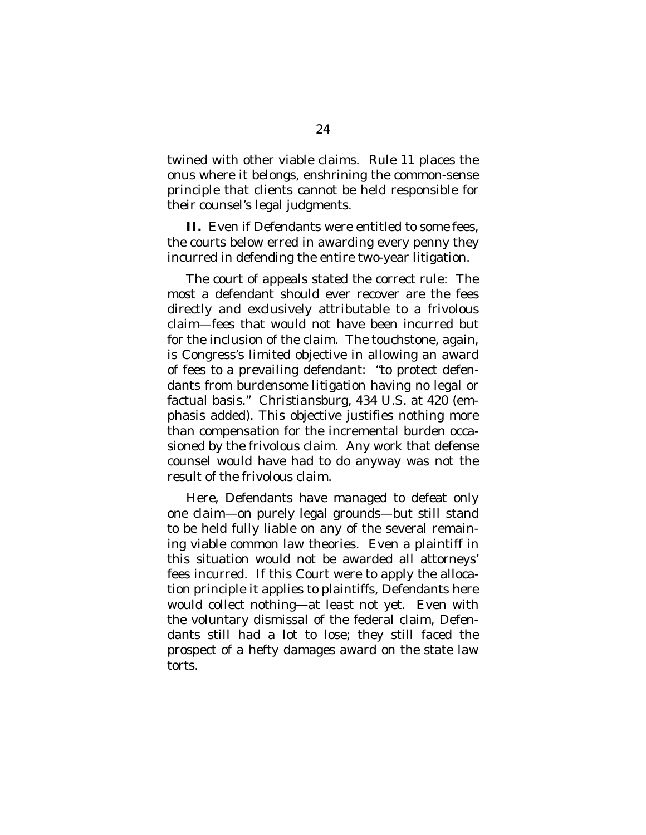twined with other viable claims. Rule 11 places the onus where it belongs, enshrining the common-sense principle that clients cannot be held responsible for their counsel's legal judgments.

**II.** Even if Defendants were entitled to *some* fees, the courts below erred in awarding every penny they incurred in defending the entire two-year litigation.

The court of appeals stated the correct rule: The most a defendant should ever recover are the fees directly and exclusively attributable to a frivolous claim—fees that would not have been incurred but for the inclusion of the claim. The touchstone, again, is Congress's limited objective in allowing an award of fees to a prevailing defendant: "to protect defendants *from burdensome litigation* having no legal or factual basis." *Christiansburg*, 434 U.S. at 420 (emphasis added). This objective justifies nothing more than compensation for the incremental burden occasioned by the frivolous claim. Any work that defense counsel would have had to do anyway was not the result of the frivolous claim.

Here, Defendants have managed to defeat only one claim—on purely legal grounds—but still stand to be held fully liable on any of the several remaining viable common law theories. Even a plaintiff in this situation would not be awarded all attorneys' fees incurred. If this Court were to apply the allocation principle it applies to plaintiffs, Defendants here would collect nothing—at least not yet. Even with the voluntary dismissal of the federal claim, Defendants still had a lot to lose; they still faced the prospect of a hefty damages award on the state law torts.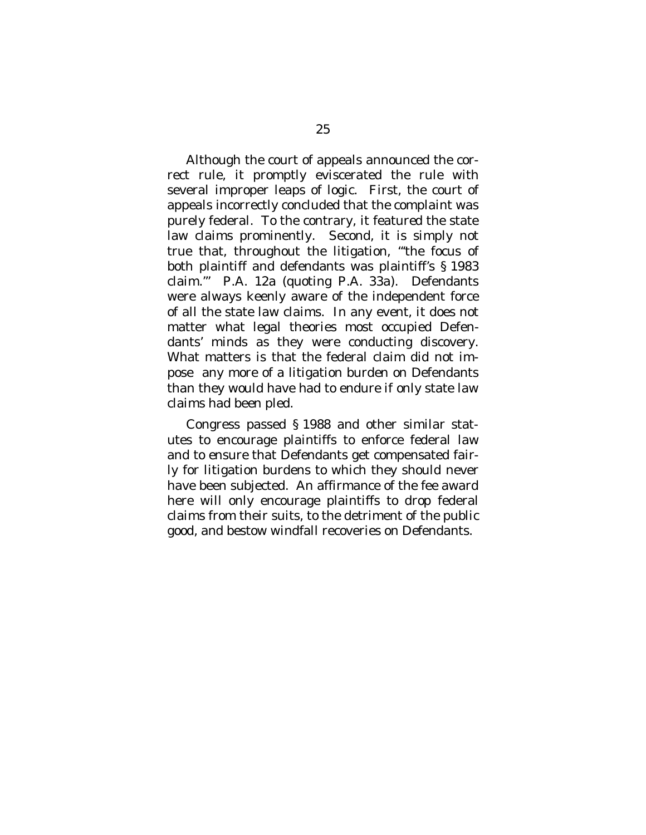Although the court of appeals announced the correct rule, it promptly eviscerated the rule with several improper leaps of logic. First, the court of appeals incorrectly concluded that the complaint was purely federal. To the contrary, it featured the state law claims prominently. Second, it is simply not true that, throughout the litigation, "'the focus of both plaintiff and defendants was plaintiff's § 1983 claim.'" P.A. 12a (quoting P.A. 33a). Defendants were always keenly aware of the independent force of all the state law claims. In any event, it does not matter what legal theories most occupied Defendants' minds as they were conducting discovery. What matters is that the federal claim did not impose any more of a litigation burden on Defendants than they would have had to endure if only state law claims had been pled.

Congress passed § 1988 and other similar statutes to encourage plaintiffs to enforce federal law and to ensure that Defendants get compensated fairly for litigation burdens to which they should never have been subjected. An affirmance of the fee award here will only encourage plaintiffs to drop federal claims from their suits, to the detriment of the public good, and bestow windfall recoveries on Defendants.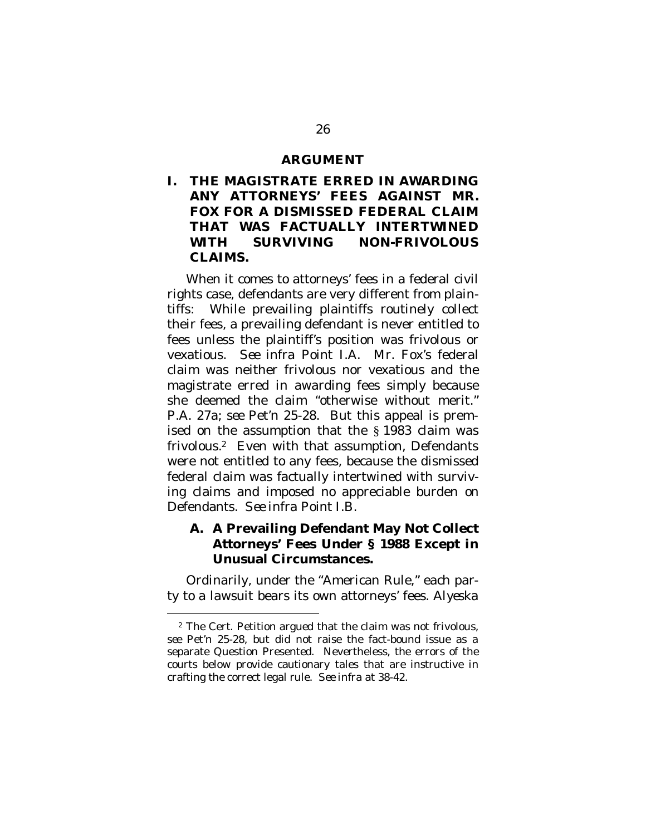#### <span id="page-37-0"></span>**ARGUMENT**

<span id="page-37-1"></span>**I. THE MAGISTRATE ERRED IN AWARDING ANY ATTORNEYS' FEES AGAINST MR. FOX FOR A DISMISSED FEDERAL CLAIM THAT WAS FACTUALLY INTERTWINED WITH SURVIVING NON-FRIVOLOUS CLAIMS.**

When it comes to attorneys' fees in a federal civil rights case, defendants are very different from plaintiffs: While prevailing plaintiffs routinely collect their fees, a prevailing defendant is never entitled to fees unless the plaintiff's position was frivolous or vexatious. *See infra* Point I.A. Mr. Fox's federal claim was neither frivolous nor vexatious and the magistrate erred in awarding fees simply because she deemed the claim "otherwise without merit." P.A. 27a; *see* Pet'n 25-28. But this appeal is premised on the assumption that the § 1983 claim was frivolous.[2](#page-37-3) Even with that assumption, Defendants were not entitled to any fees, because the dismissed federal claim was factually intertwined with surviving claims and imposed no appreciable burden on Defendants. *See infra* Point I.B.

<span id="page-37-2"></span>**A. A Prevailing Defendant May Not Collect Attorneys' Fees Under § 1988 Except in Unusual Circumstances.**

Ordinarily, under the "American Rule," each party to a lawsuit bears its own attorneys' fees. *Alyeska*

<span id="page-37-3"></span><sup>2</sup> The Cert. Petition argued that the claim was not frivolous, *see* Pet'n 25-28, but did not raise the fact-bound issue as a separate Question Presented. Nevertheless, the errors of the courts below provide cautionary tales that are instructive in crafting the correct legal rule. *See infra* at 38-42.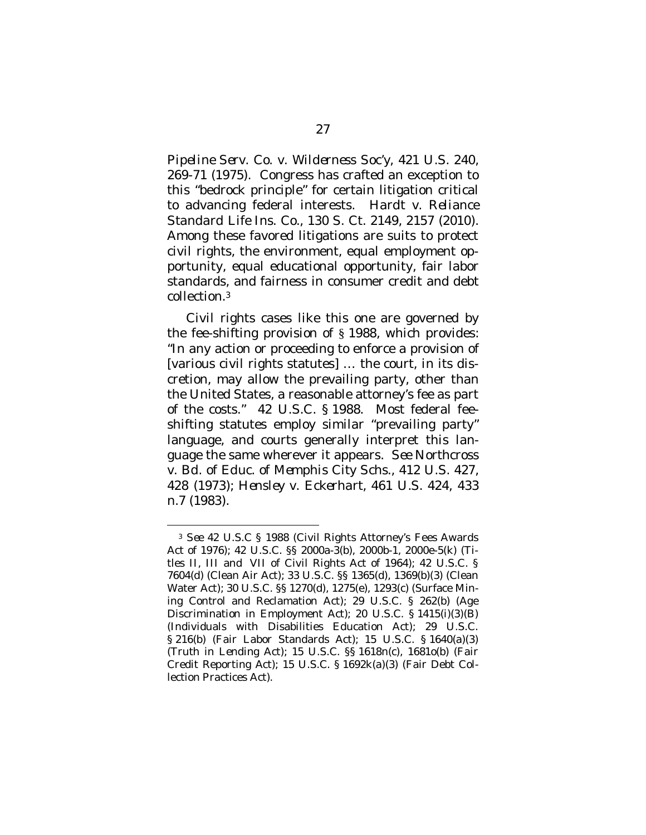*Pipeline Serv. Co. v. Wilderness Soc'y*, 421 U.S. 240, 269-71 (1975). Congress has crafted an exception to this "bedrock principle" for certain litigation critical to advancing federal interests. *Hardt v. Reliance Standard Life Ins. Co.*, 130 S. Ct. 2149, 2157 (2010). Among these favored litigations are suits to protect civil rights, the environment, equal employment opportunity, equal educational opportunity, fair labor standards, and fairness in consumer credit and debt collection.[3](#page-38-0)

Civil rights cases like this one are governed by the fee-shifting provision of § 1988, which provides: "In any action or proceeding to enforce a provision of [various civil rights statutes] … the court, in its discretion, may allow the prevailing party, other than the United States, a reasonable attorney's fee as part of the costs." 42 U.S.C. § 1988. Most federal feeshifting statutes employ similar "prevailing party" language, and courts generally interpret this language the same wherever it appears. *See Northcross v. Bd. of Educ. of Memphis City Schs.,* 412 U.S. 427, 428 (1973); *Hensley v. Eckerhart,* 461 U.S. 424, 433 n.7 (1983).

<span id="page-38-0"></span><sup>3</sup> *See* 42 U.S.C § 1988 (Civil Rights Attorney's Fees Awards Act of 1976); 42 U.S.C. §§ 2000a-3(b), 2000b-1, 2000e-5(k) (Titles II, III and VII of Civil Rights Act of 1964); 42 U.S.C. § 7604(d) (Clean Air Act); 33 U.S.C. §§ 1365(d), 1369(b)(3) (Clean Water Act); 30 U.S.C. §§ 1270(d), 1275(e), 1293(c) (Surface Mining Control and Reclamation Act); 29 U.S.C. § 262(b) (Age Discrimination in Employment Act); 20 U.S.C. § 1415(i)(3)(B) (Individuals with Disabilities Education Act); 29 U.S.C. § 216(b) (Fair Labor Standards Act); 15 U.S.C. § 1640(a)(3) (Truth in Lending Act); 15 U.S.C. §§ 1618n(c), 1681o(b) (Fair Credit Reporting Act); 15 U.S.C. § 1692k(a)(3) (Fair Debt Collection Practices Act).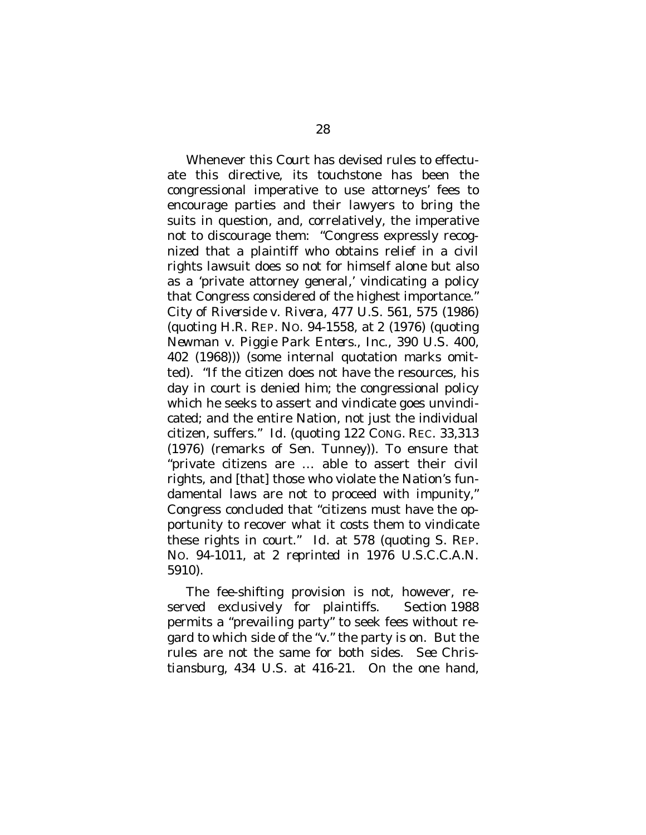Whenever this Court has devised rules to effectuate this directive, its touchstone has been the congressional imperative to use attorneys' fees to encourage parties and their lawyers to bring the suits in question, and, correlatively, the imperative *not* to di*s*courage them: "Congress expressly recognized that a plaintiff who obtains relief in a civil rights lawsuit does so not for himself alone but also as a 'private attorney general,' vindicating a policy that Congress considered of the highest importance." *City of Riverside v. Rivera*, 477 U.S. 561, 575 (1986) (quoting H.R. REP. NO. 94-1558, at 2 (1976) (quoting *Newman v. Piggie Park Enters., Inc.*, 390 U.S. 400, 402 (1968))) (some internal quotation marks omitted). "If the citizen does not have the resources, his day in court is denied him; the congressional policy which he seeks to assert and vindicate goes unvindicated; and the entire Nation, not just the individual citizen, suffers." *Id*. (quoting 122 CONG. REC. 33,313 (1976) (remarks of Sen. Tunney)). To ensure that "private citizens are … able to assert their civil rights, and [that] those who violate the Nation's fundamental laws are not to proceed with impunity," Congress concluded that "citizens must have the opportunity to recover what it costs them to vindicate these rights in court." *Id.* at 578 (quoting S. REP. NO. 94-1011, at 2 *reprinted in* 1976 U.S.C.C.A.N. 5910).

The fee-shifting provision is not, however, reserved exclusively for plaintiffs. Section 1988 permits a "prevailing party" to seek fees without regard to which side of the "*v*." the party is on. But the rules are not the same for both sides. *See Christiansburg,* 434 U.S. at 416-21. On the one hand,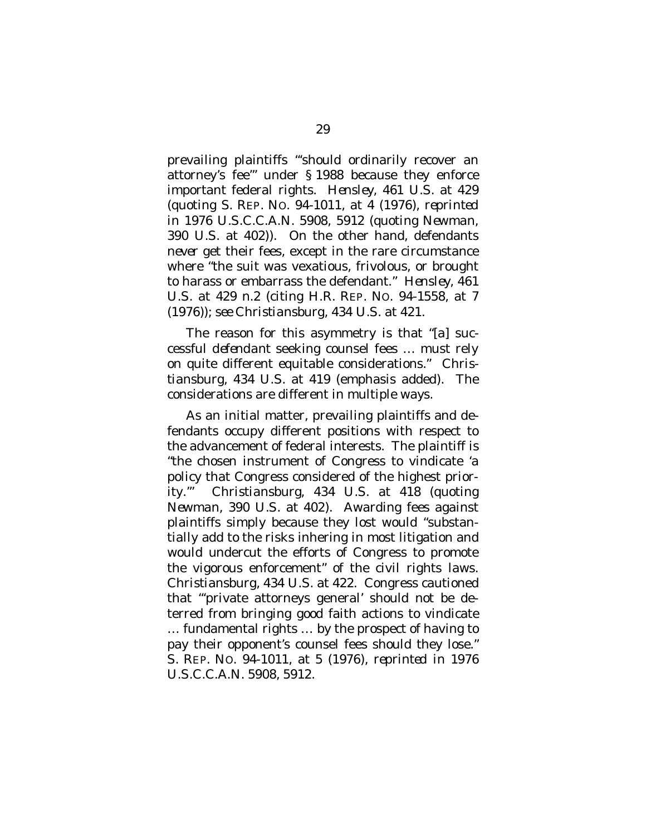prevailing plaintiffs "'should ordinarily recover an attorney's fee'" under § 1988 because they enforce important federal rights. *Hensley*, 461 U.S. at 429 (quoting S. REP. NO. 94-1011, at 4 (1976), *reprinted in* 1976 U.S.C.C.A.N. 5908, 5912 (quoting *Newman*, 390 U.S. at 402)). On the other hand, defendants *never* get their fees, except in the rare circumstance where "the suit was vexatious, frivolous, or brought to harass or embarrass the defendant." *Hensley,* 461 U.S. at 429 n.2 (citing H.R. REP. NO. 94-1558, at 7 (1976)); *see Christiansburg,* 434 U.S. at 421.

The reason for this asymmetry is that "[a] successful *defendant* seeking counsel fees … must rely on quite different equitable considerations." *Christiansburg*, 434 U.S. at 419 (emphasis added). The considerations are different in multiple ways.

As an initial matter, prevailing plaintiffs and defendants occupy different positions with respect to the advancement of federal interests. The plaintiff is "the chosen instrument of Congress to vindicate 'a policy that Congress considered of the highest priority.'" *Christiansburg,* 434 U.S. at 418 (quoting *Newman*, 390 U.S. at 402). Awarding fees against plaintiffs simply because they lost would "substantially add to the risks inhering in most litigation and would undercut the efforts of Congress to promote the vigorous enforcement" of the civil rights laws. *Christiansburg*, 434 U.S. at 422. Congress cautioned that "'private attorneys general' should not be deterred from bringing good faith actions to vindicate … fundamental rights … by the prospect of having to pay their opponent's counsel fees should they lose." S. REP. NO. 94-1011, at 5 (1976), *reprinted in* 1976 U.S.C.C.A.N. 5908, 5912.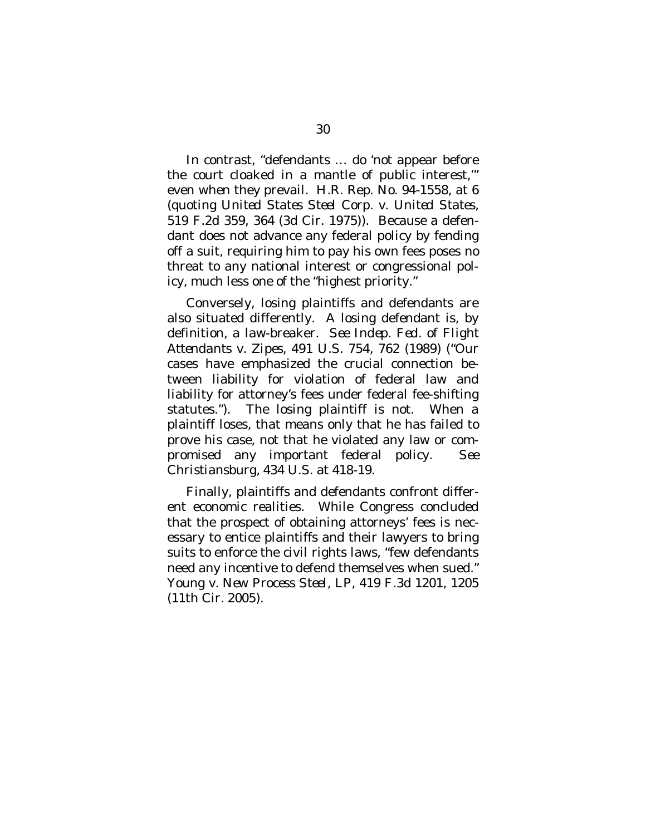In contrast, "defendants … do 'not appear before the court cloaked in a mantle of public interest,'" even when they prevail. H.R. Rep. No. 94-1558, at 6 (quoting *United States Steel Corp. v. United States*, 519 F.2d 359, 364 (3d Cir. 1975)). Because a defendant does not advance any federal policy by fending off a suit, requiring him to pay his own fees poses no threat to any national interest or congressional policy, much less one of the "highest priority."

Conversely, losing plaintiffs and defendants are also situated differently. A losing defendant is, by definition, a law-breaker. *See Indep. Fed. of Flight Attendants v. Zipes*, 491 U.S. 754, 762 (1989) ("Our cases have emphasized the crucial connection between liability for violation of federal law and liability for attorney's fees under federal fee-shifting statutes."). The losing plaintiff is not. When a plaintiff loses, that means only that he has failed to prove his case, not that he violated any law or compromised any important federal policy. *See Christiansburg*, 434 U.S. at 418-19.

Finally, plaintiffs and defendants confront different economic realities. While Congress concluded that the prospect of obtaining attorneys' fees is necessary to entice plaintiffs and their lawyers to bring suits to enforce the civil rights laws, "few defendants need any incentive to defend themselves when sued." *Young v. New Process Steel, LP*, 419 F.3d 1201, 1205 (11th Cir. 2005).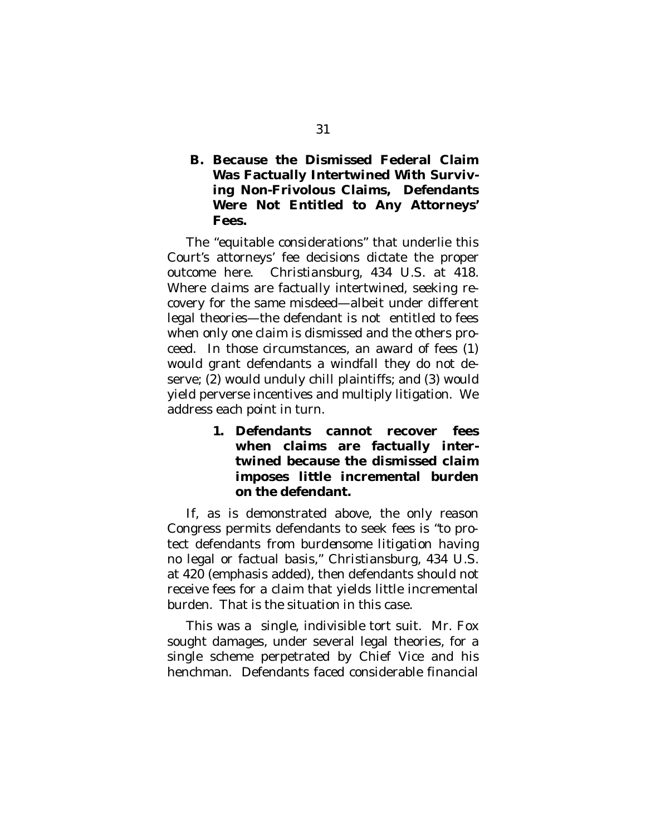<span id="page-42-0"></span>**B. Because the Dismissed Federal Claim Was Factually Intertwined With Surviving Non-Frivolous Claims, Defendants Were Not Entitled to Any Attorneys' Fees.**

The "equitable considerations" that underlie this Court's attorneys' fee decisions dictate the proper outcome here. *Christiansburg*, 434 U.S. at 418. Where claims are factually intertwined, seeking recovery for the same misdeed—albeit under different legal theories—the defendant is not entitled to fees when only one claim is dismissed and the others proceed. In those circumstances, an award of fees (1) would grant defendants a windfall they do not deserve; (2) would unduly chill plaintiffs; and (3) would yield perverse incentives and multiply litigation. We address each point in turn.

> <span id="page-42-1"></span>**1. Defendants cannot recover fees when claims are factually intertwined because the dismissed claim imposes little incremental burden on the defendant.**

If, as is demonstrated above, the only reason Congress permits defendants to seek fees is "to protect defendants *from burdensome litigation* having no legal or factual basis," *Christiansburg*, 434 U.S. at 420 (emphasis added), then defendants should not receive fees for a claim that yields little incremental burden. That is the situation in this case.

This was a single, indivisible tort suit. Mr. Fox sought damages, under several legal theories, for a single scheme perpetrated by Chief Vice and his henchman. Defendants faced considerable financial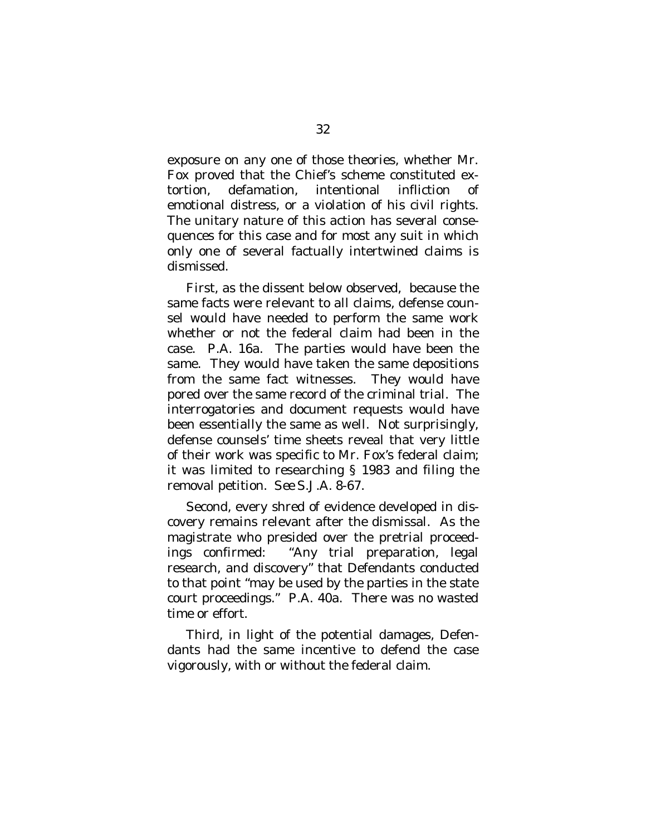exposure on any one of those theories, whether Mr. Fox proved that the Chief's scheme constituted extortion, defamation, intentional infliction of emotional distress, or a violation of his civil rights. The unitary nature of this action has several consequences for this case and for most any suit in which only one of several factually intertwined claims is dismissed.

First, as the dissent below observed, because the same facts were relevant to all claims, defense counsel would have needed to perform the same work whether or not the federal claim had been in the case. P.A. 16a. The parties would have been the same. They would have taken the same depositions from the same fact witnesses. They would have pored over the same record of the criminal trial. The interrogatories and document requests would have been essentially the same as well. Not surprisingly, defense counsels' time sheets reveal that very little of their work was specific to Mr. Fox's federal claim; it was limited to researching § 1983 and filing the removal petition. *See* S.J.A. 8-67.

Second, every shred of evidence developed in discovery remains relevant after the dismissal. As the magistrate who presided over the pretrial proceedings confirmed: "Any trial preparation, legal research, and discovery" that Defendants conducted to that point "may be used by the parties in the state court proceedings." P.A. 40a. There was no wasted time or effort.

Third, in light of the potential damages, Defendants had the same incentive to defend the case vigorously, with or without the federal claim.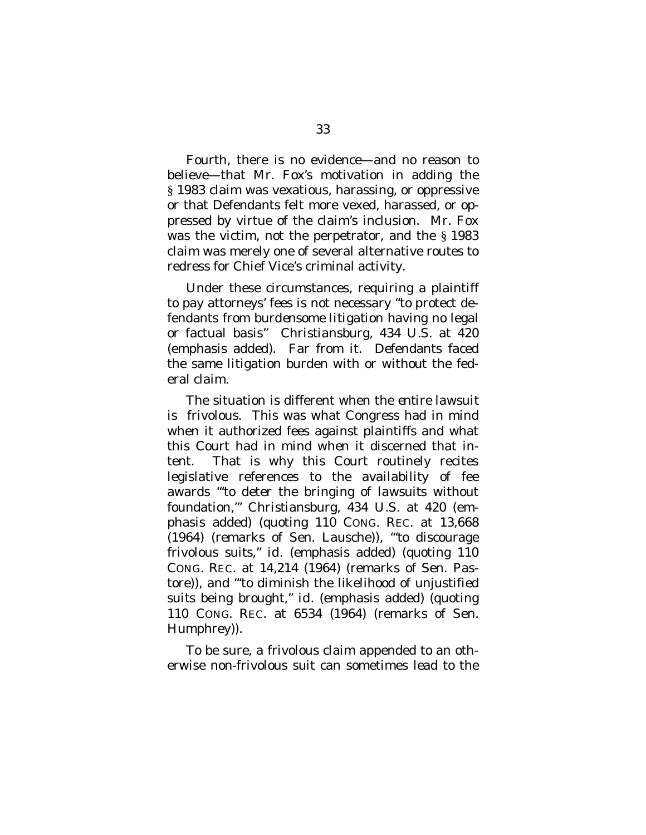Fourth, there is no evidence—and no reason to believe—that Mr. Fox's motivation in adding the § 1983 claim was vexatious, harassing, or oppressive or that Defendants felt more vexed, harassed, or oppressed by virtue of the claim's inclusion. Mr. Fox was the victim, not the perpetrator, and the § 1983 claim was merely one of several alternative routes to redress for Chief Vice's criminal activity.

Under these circumstances, requiring a plaintiff to pay attorneys' fees is not necessary "to protect defendants *from burdensome litigation* having no legal or factual basis" *Christiansburg*, 434 U.S. at 420 (emphasis added). Far from it. Defendants faced the same litigation burden with or without the federal claim.

The situation is different when the *entire lawsuit* is frivolous. This was what Congress had in mind when it authorized fees against plaintiffs and what this Court had in mind when it discerned that intent. That is why this Court routinely recites legislative references to the availability of fee awards "'to deter the bringing of *lawsuits* without foundation,'" *Christiansburg*, 434 U.S. at 420 (emphasis added) (quoting 110 CONG. REC. at 13,668 (1964) (remarks of Sen. Lausche)), "'to discourage frivolous *suits*," *id.* (emphasis added) (quoting 110 CONG. REC. at 14,214 (1964) (remarks of Sen. Pastore)), and "'to diminish the likelihood of unjustified *suits* being brought," *id.* (emphasis added) (quoting 110 CONG. REC. at 6534 (1964) (remarks of Sen. Humphrey)).

To be sure, a frivolous claim appended to an otherwise non-frivolous suit can sometimes lead to the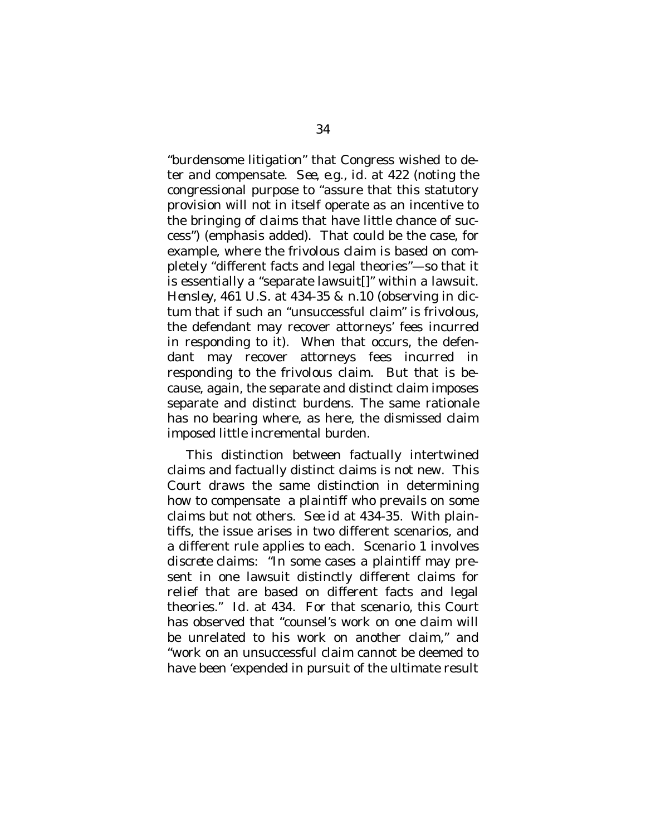"burdensome litigation" that Congress wished to deter and compensate. *See, e.g., id.* at 422 (noting the congressional purpose to "assure that this statutory provision will not in itself operate as an incentive to the bringing of *claims* that have little chance of success") (emphasis added). That could be the case, for example, where the frivolous claim is based on completely "different facts and legal theories"—so that it is essentially a "separate lawsuit[]" within a lawsuit. *Hensley*, 461 U.S. at 434-35 & n.10 (observing in dictum that if such an "unsuccessful claim" is frivolous, the defendant may recover attorneys' fees incurred in responding to it). When that occurs, the defendant may recover attorneys fees incurred in responding to the frivolous claim. But that is because, again, the separate and distinct claim imposes separate and distinct burdens. The same rationale has no bearing where, as here, the dismissed claim imposed little incremental burden.

This distinction between factually intertwined claims and factually distinct claims is not new. This Court draws the same distinction in determining how to compensate a *plaintiff* who prevails on some claims but not others. *See id* at 434-35. With plaintiffs, the issue arises in two different scenarios, and a different rule applies to each. Scenario 1 involves *discrete* claims: "In some cases a plaintiff may present in one lawsuit distinctly different claims for relief that are based on different facts and legal theories." *Id.* at 434. For that scenario, this Court has observed that "counsel's work on one claim will be unrelated to his work on another claim," and "work on an unsuccessful claim cannot be deemed to have been 'expended in pursuit of the ultimate result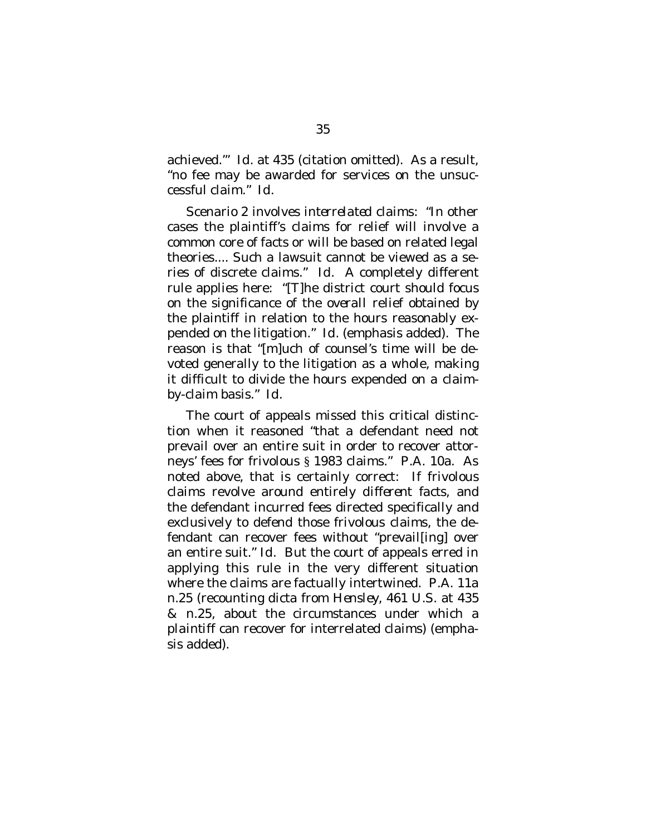achieved.'" *Id.* at 435 (citation omitted). As a result, "no fee may be awarded for services on the unsuccessful claim." *Id.*

Scenario 2 involves *interrelated* claims: "In other cases the plaintiff's claims for relief will involve a common core of facts or will be based on related legal theories.... Such a lawsuit cannot be viewed as a series of discrete claims." *Id.* A completely different rule applies here: "[T]he district court should focus on the significance of the *overall* relief obtained by the plaintiff in relation to the hours reasonably expended on the litigation." *Id.* (emphasis added). The reason is that "[m]uch of counsel's time will be devoted generally to the litigation as a whole, making it difficult to divide the hours expended on a claimby-claim basis." *Id.*

The court of appeals missed this critical distinction when it reasoned "that a defendant need not prevail over an entire suit in order to recover attorneys' fees for frivolous § 1983 claims." P.A. 10a. As noted above, that is certainly correct: If frivolous claims revolve around entirely *different facts*, and the defendant incurred fees directed specifically and exclusively to defend those frivolous claims, the defendant can recover fees without "prevail[ing] over an entire suit." *Id.* But the court of appeals erred in applying this rule in the very different situation where the claims are factually intertwined. P.A. 11a n.25 (recounting dicta from *Hensley*, 461 U.S. at 435 & n.25, about the circumstances under which a *plaintiff* can recover for interrelated claims) (emphasis added).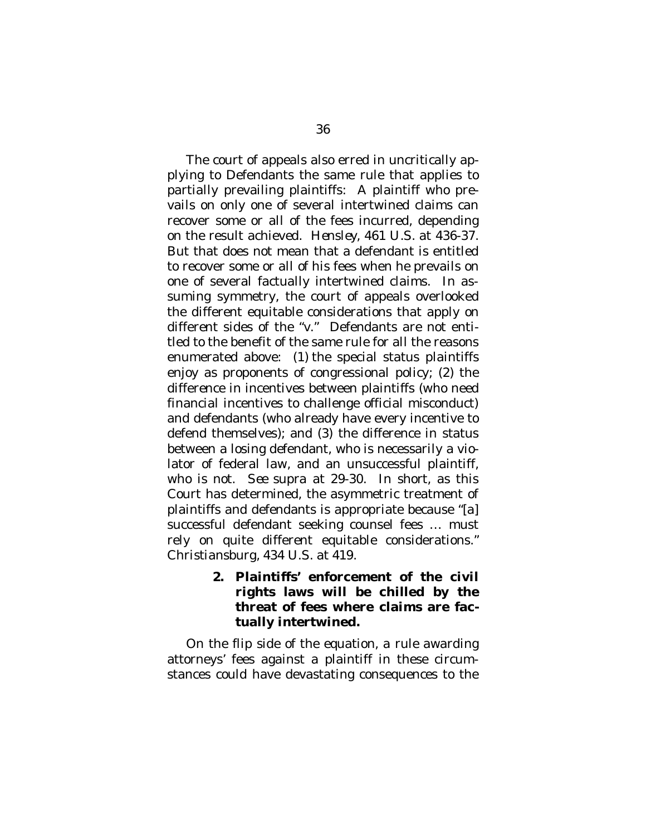The court of appeals also erred in uncritically applying to Defendants the same rule that applies to partially prevailing plaintiffs: A plaintiff who prevails on only one of several intertwined claims can recover some or all of the fees incurred, depending on the result achieved. *Hensley*, 461 U.S. at 436-37. But that does not mean that a defendant is entitled to recover some or all of his fees when he prevails on one of several factually intertwined claims. In assuming symmetry, the court of appeals overlooked the different equitable considerations that apply on different sides of the "*v.*" Defendants are not entitled to the benefit of the same rule for all the reasons enumerated above: (1) the special status plaintiffs enjoy as proponents of congressional policy; (2) the difference in incentives between plaintiffs (who need financial incentives to challenge official misconduct) and defendants (who already have every incentive to defend themselves); and (3) the difference in status between a losing defendant, who is necessarily a violator of federal law, and an unsuccessful plaintiff, who is not. *See supra* at 29-30. In short, as this Court has determined, the asymmetric treatment of plaintiffs and defendants is appropriate because "[a] successful defendant seeking counsel fees … must rely on quite different equitable considerations." *Christiansburg*, 434 U.S. at 419.

> <span id="page-47-0"></span>**2. Plaintiffs' enforcement of the civil rights laws will be chilled by the threat of fees where claims are factually intertwined.**

On the flip side of the equation, a rule awarding attorneys' fees against a plaintiff in these circumstances could have devastating consequences to the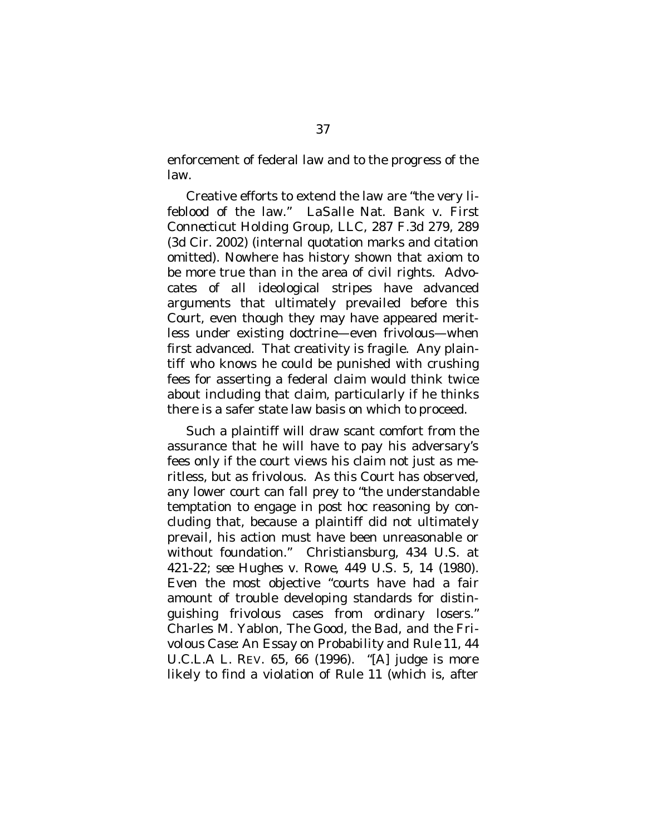enforcement of federal law and to the progress of the law.

Creative efforts to extend the law are "the very lifeblood of the law." *LaSalle Nat. Bank v. First Connecticut Holding Group, LLC*, 287 F.3d 279, 289 (3d Cir. 2002) (internal quotation marks and citation omitted). Nowhere has history shown that axiom to be more true than in the area of civil rights. Advocates of all ideological stripes have advanced arguments that ultimately prevailed before this Court, even though they may have appeared meritless under existing doctrine—even frivolous—when first advanced. That creativity is fragile. Any plaintiff who knows he could be punished with crushing fees for asserting a federal claim would think twice about including that claim, particularly if he thinks there is a safer state law basis on which to proceed.

Such a plaintiff will draw scant comfort from the assurance that he will have to pay his adversary's fees only if the court views his claim not just as meritless, but as frivolous. As this Court has observed, any lower court can fall prey to "the understandable temptation to engage in *post hoc* reasoning by concluding that, because a plaintiff did not ultimately prevail, his action must have been unreasonable or without foundation." *Christiansburg*, 434 U.S. at 421-22; *see Hughes v. Rowe*, 449 U.S. 5, 14 (1980). Even the most objective "courts have had a fair amount of trouble developing standards for distinguishing frivolous cases from ordinary losers." Charles M. Yablon, *The Good, the Bad, and the Frivolous Case: An Essay on Probability and Rule 11*, 44 U.C.L.A L. REV. 65, 66 (1996). "[A] judge is more likely to find a violation of Rule 11 (which is, after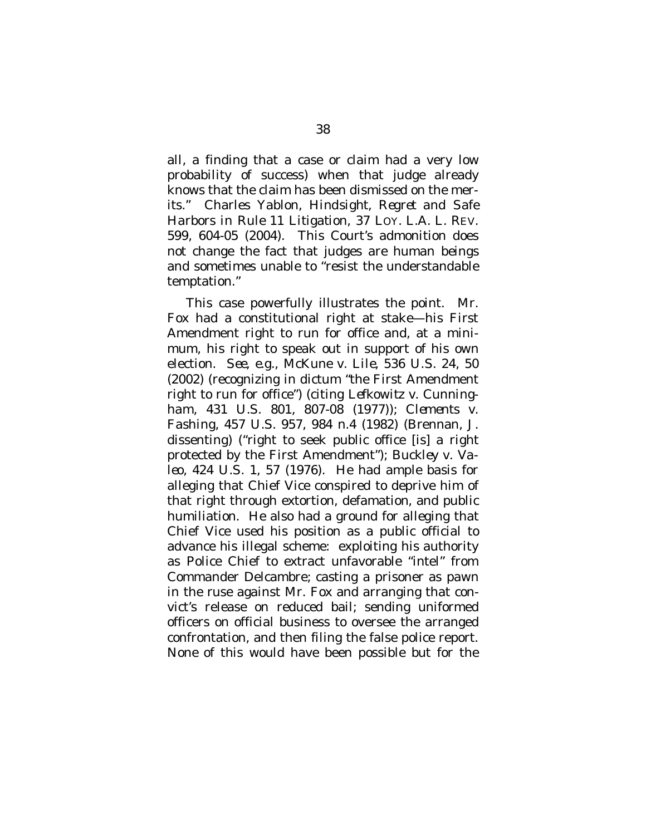all, a finding that a case or claim had a very low probability of success) when that judge already knows that the claim has been dismissed on the merits." Charles Yablon, *Hindsight, Regret and Safe Harbors in Rule 11 Litigation*, 37 LOY. L.A. L. REV. 599, 604-05 (2004). This Court's admonition does not change the fact that judges are human beings and sometimes unable to "resist the understandable temptation."

This case powerfully illustrates the point. Mr. Fox had a constitutional right at stake—his First Amendment right to run for office and, at a minimum, his right to speak out in support of his own election. *See, e.g., McKune v. Lile*, 536 U.S. 24, 50 (2002) (recognizing in dictum "the First Amendment right to run for office") (citing *Lefkowitz v. Cunningham,* 431 U.S. 801, 807-08 (1977)); *Clements v. Fashing,* 457 U.S. 957, 984 n.4 (1982) (Brennan, J. dissenting) ("right to seek public office [is] a right protected by the First Amendment"); *Buckley v. Valeo*, 424 U.S. 1, 57 (1976). He had ample basis for alleging that Chief Vice conspired to deprive him of that right through extortion, defamation, and public humiliation. He also had a ground for alleging that Chief Vice used his position as a public official to advance his illegal scheme: exploiting his authority as Police Chief to extract unfavorable "intel" from Commander Delcambre; casting a prisoner as pawn in the ruse against Mr. Fox and arranging that convict's release on reduced bail; sending uniformed officers on official business to oversee the arranged confrontation, and then filing the false police report. *None* of this would have been possible but for the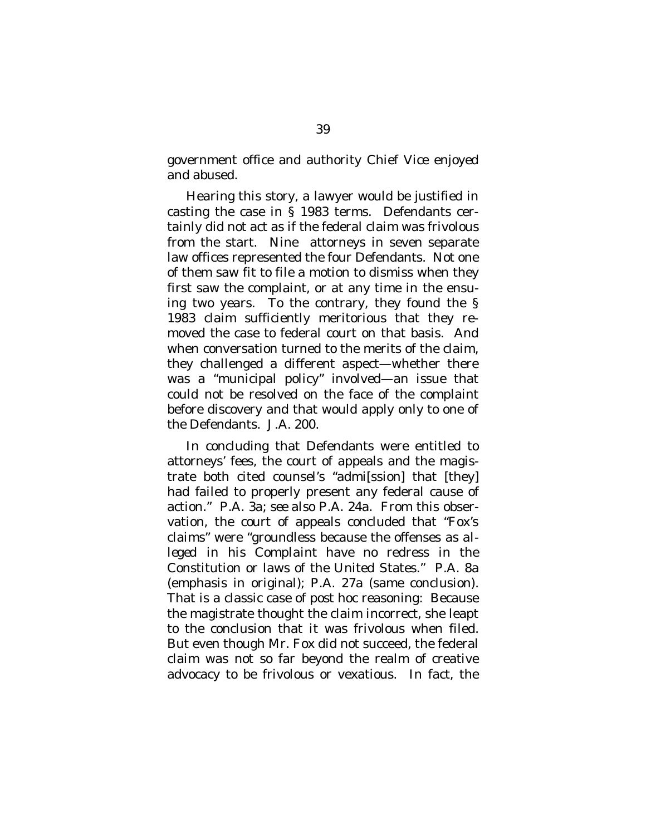government office and authority Chief Vice enjoyed and abused.

Hearing this story, a lawyer would be justified in casting the case in § 1983 terms. Defendants certainly did not act as if the federal claim was frivolous from the start. Nine attorneys in seven separate law offices represented the four Defendants. Not one of them saw fit to file a motion to dismiss when they first saw the complaint, or at any time in the ensuing two years. To the contrary, they found the § 1983 claim sufficiently meritorious that they removed the case to federal court on that basis. And when conversation turned to the merits of the claim, they challenged a different aspect—whether there was a "municipal policy" involved—an issue that could not be resolved on the face of the complaint before discovery and that would apply only to one of the Defendants. J.A. 200.

In concluding that Defendants were entitled to attorneys' fees, the court of appeals and the magistrate both cited counsel's "admi[ssion] that [they] had failed to properly present any federal cause of action." P.A. 3a; *see also* P.A. 24a. From this observation, the court of appeals concluded that "Fox's claims" were "groundless because the offenses *as alleged in his Complaint* have no redress in the Constitution or laws of the United States." P.A. 8a (emphasis in original); P.A. 27a (same conclusion). That is a classic case of *post hoc* reasoning: Because the magistrate thought the claim incorrect, she leapt to the conclusion that it was frivolous when filed. But even though Mr. Fox did not succeed, the federal claim was not so far beyond the realm of creative advocacy to be frivolous or vexatious. In fact, the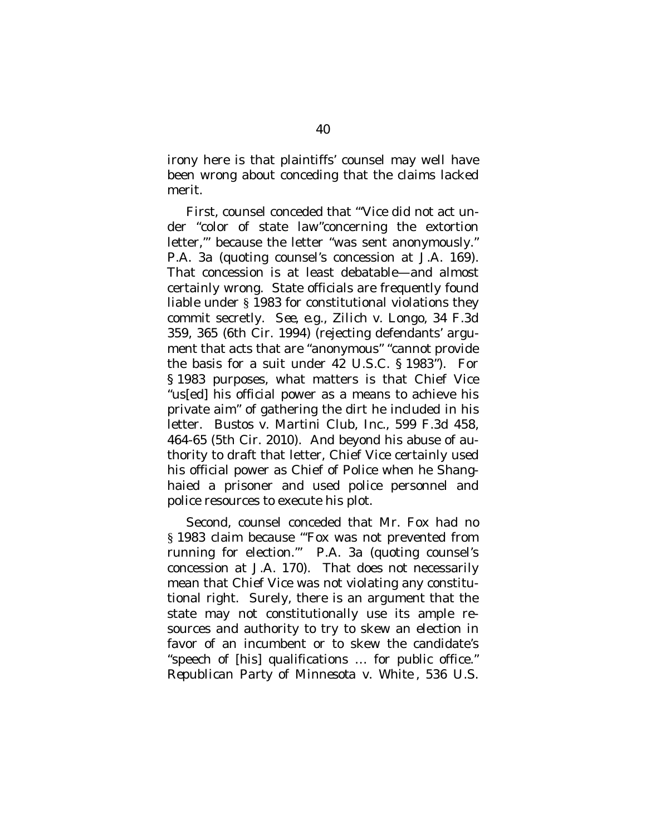irony here is that plaintiffs' counsel may well have been wrong about conceding that the claims lacked merit.

First, counsel conceded that "'Vice did not act under "color of state law"concerning the extortion letter,'" because the letter "was sent anonymously." P.A. 3a (quoting counsel's concession at J.A. 169). That concession is at least debatable—and almost certainly wrong. State officials are frequently found liable under § 1983 for constitutional violations they commit secretly. *See, e.g., Zilich v. Longo*, 34 F.3d 359, 365 (6th Cir. 1994) (rejecting defendants' argument that acts that are "anonymous" "cannot provide the basis for a suit under 42 U.S.C. § 1983"). For § 1983 purposes, what matters is that Chief Vice "us[ed] his official power as a means to achieve his private aim" of gathering the dirt he included in his letter. *Bustos v. Martini Club, Inc.*, 599 F.3d 458, 464-65 (5th Cir. 2010). And beyond his abuse of authority to draft that letter, Chief Vice certainly used his official power as Chief of Police when he Shanghaied a prisoner and used police personnel and police resources to execute his plot.

Second, counsel conceded that Mr. Fox had no § 1983 claim because "'Fox was not prevented from running for election.'" P.A. 3a (quoting counsel's concession at J.A. 170). That does not necessarily mean that Chief Vice was not violating any constitutional right. Surely, there is an argument that the state may not constitutionally use its ample resources and authority to try to skew an election in favor of an incumbent or to skew the candidate's "speech of [his] qualifications … for public office." *Republican Party of Minnesota v. White* , 536 U.S.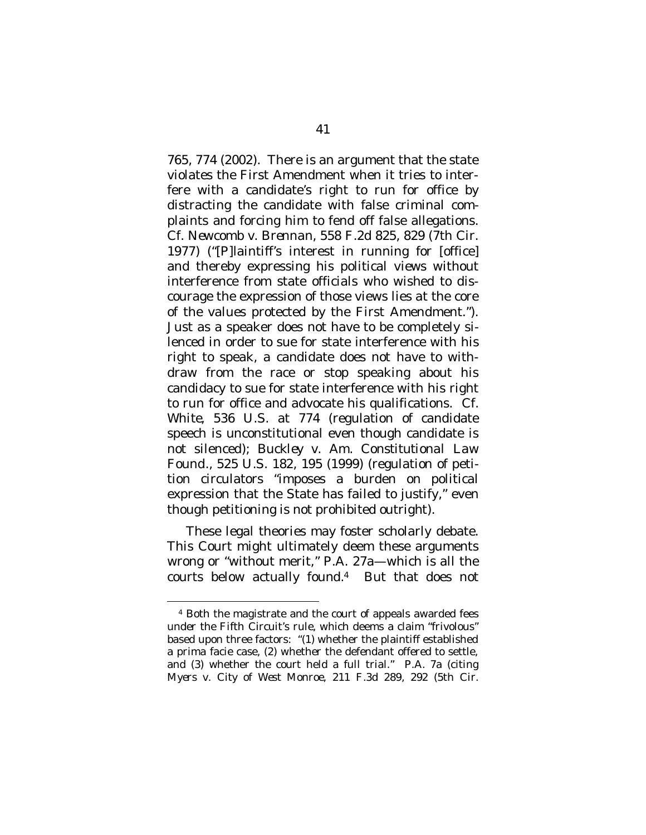765, 774 (2002). There is an argument that the state violates the First Amendment when it tries to interfere with a candidate's right to run for office by distracting the candidate with false criminal complaints and forcing him to fend off false allegations. *Cf. Newcomb v. Brennan*, 558 F.2d 825, 829 (7th Cir. 1977) ("[P]laintiff's interest in running for [office] and thereby expressing his political views without interference from state officials who wished to discourage the expression of those views lies at the core of the values protected by the First Amendment."). Just as a speaker does not have to be completely silenced in order to sue for state interference with his right to speak, a candidate does not have to withdraw from the race or stop speaking about his candidacy to sue for state interference with his right to run for office and advocate his qualifications. *Cf. White*, 536 U.S. at 774 (regulation of candidate speech is unconstitutional even though candidate is not silenced); *Buckley v. Am. Constitutional Law Found.*, 525 U.S. 182, 195 (1999) (regulation of petition circulators "imposes a burden on political expression that the State has failed to justify," even though petitioning is not prohibited outright).

These legal theories may foster scholarly debate. This Court might ultimately deem these arguments wrong or "without merit," P.A. 27a—which is all the courts below actually found.[4](#page-52-0) But that does not

<span id="page-52-0"></span><sup>4</sup> Both the magistrate and the court of appeals awarded fees under the Fifth Circuit's rule, which deems a claim "frivolous" based upon three factors: "(1) whether the plaintiff established a prima facie case, (2) whether the defendant offered to settle, and (3) whether the court held a full trial." P.A. 7a (citing *Myers v. City of West Monroe*, 211 F.3d 289, 292 (5th Cir.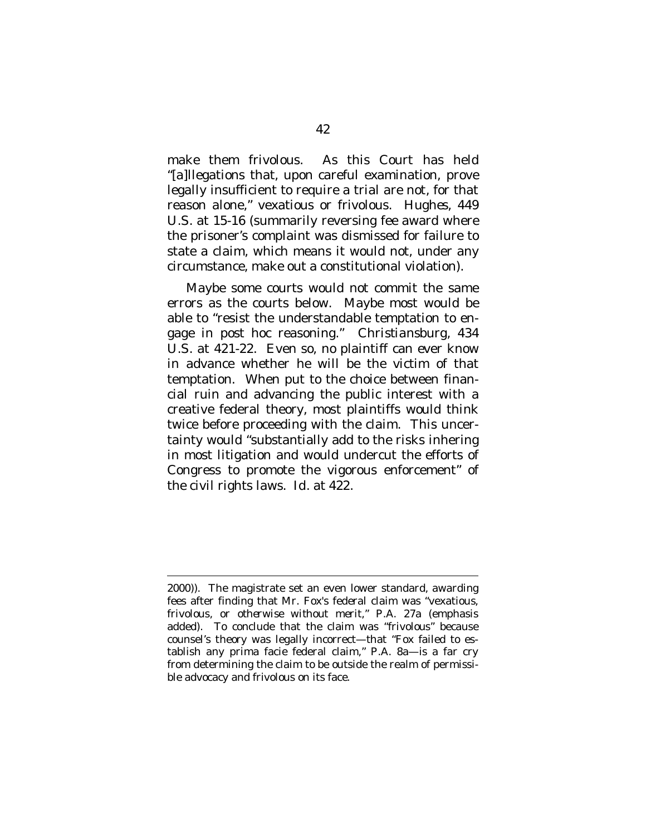make them frivolous. As this Court has held "[a]llegations that, upon careful examination, prove legally insufficient to require a trial are not, for that reason alone," vexatious or frivolous. *Hughes*, 449 U.S. at 15-16 (summarily reversing fee award where the prisoner's complaint was dismissed for failure to state a claim, which means it would not, under any circumstance, make out a constitutional violation).

Maybe some courts would not commit the same errors as the courts below. Maybe most would be able to "resist the understandable temptation to engage in *post hoc* reasoning." *Christiansburg*, 434 U.S. at 421-22. Even so, no plaintiff can ever know in advance whether he will be the victim of that temptation. When put to the choice between financial ruin and advancing the public interest with a creative federal theory, most plaintiffs would think twice before proceeding with the claim. This uncertainty would "substantially add to the risks inhering in most litigation and would undercut the efforts of Congress to promote the vigorous enforcement" of the civil rights laws. *Id.* at 422.

<sup>2000)).</sup> The magistrate set an even lower standard, awarding fees after finding that Mr. Fox's federal claim was "vexatious, frivolous, or *otherwise without merit*," P.A. 27a (emphasis added). To conclude that the claim was "frivolous" because counsel's theory was legally incorrect—that "Fox failed to establish any prima facie federal claim," P.A. 8a—is a far cry from determining the claim to be outside the realm of permissible advocacy and frivolous on its face.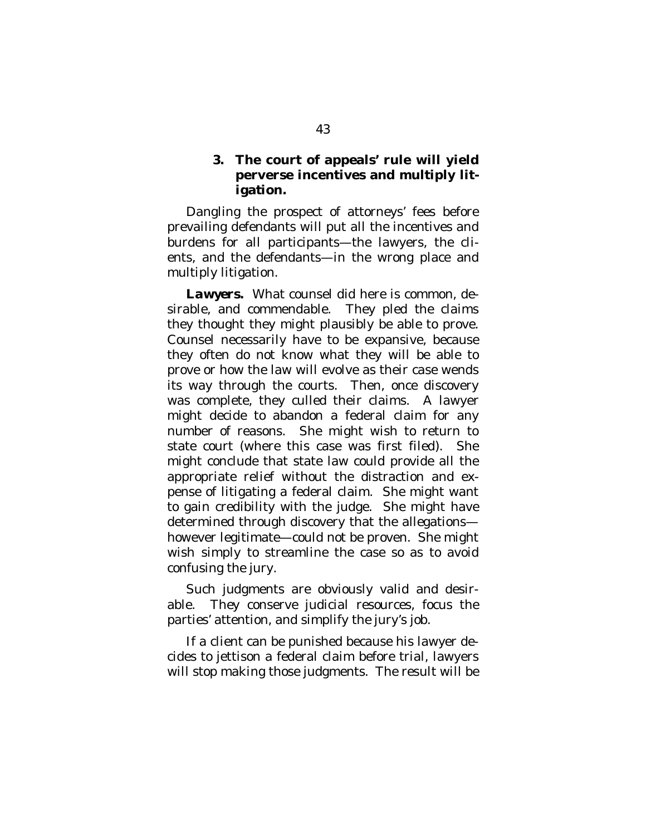<span id="page-54-0"></span>**3. The court of appeals' rule will yield perverse incentives and multiply litigation.**

Dangling the prospect of attorneys' fees before prevailing defendants will put all the incentives and burdens for all participants—the lawyers, the clients, and the defendants—in the wrong place and multiply litigation.

*Lawyers.* What counsel did here is common, desirable, and commendable. They pled the claims they thought they might plausibly be able to prove. Counsel necessarily have to be expansive, because they often do not know what they will be able to prove or how the law will evolve as their case wends its way through the courts. Then, once discovery was complete, they culled their claims. A lawyer might decide to abandon a federal claim for any number of reasons. She might wish to return to state court (where this case was first filed). She might conclude that state law could provide all the appropriate relief without the distraction and expense of litigating a federal claim. She might want to gain credibility with the judge. She might have determined through discovery that the allegations however legitimate—could not be proven. She might wish simply to streamline the case so as to avoid confusing the jury.

Such judgments are obviously valid and desirable. They conserve judicial resources, focus the parties' attention, and simplify the jury's job.

If a client can be punished because his lawyer decides to jettison a federal claim before trial, lawyers will stop making those judgments. The result will be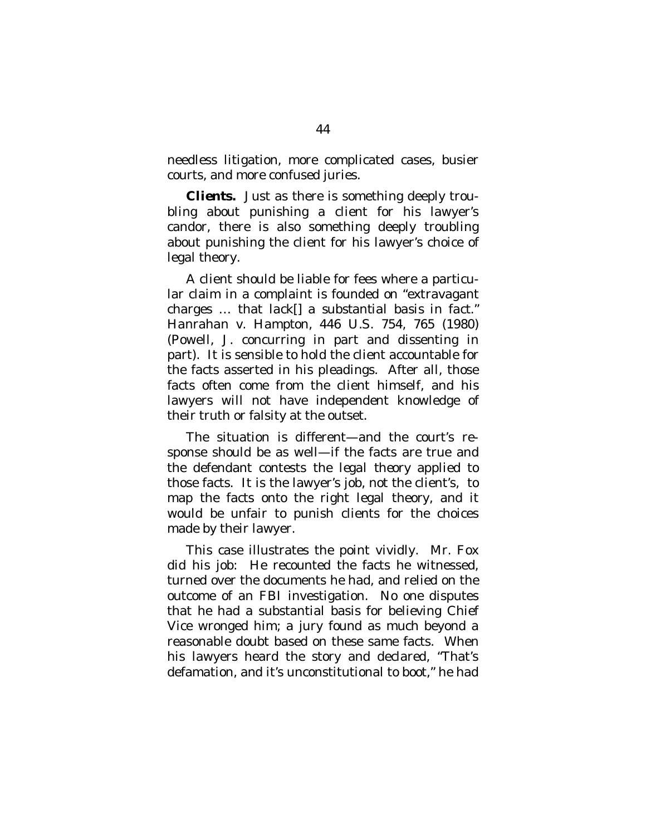needless litigation, more complicated cases, busier courts, and more confused juries.

*Clients.* Just as there is something deeply troubling about punishing a client for his lawyer's candor, there is also something deeply troubling about punishing the client for his lawyer's choice of legal theory.

A client should be liable for fees where a particular claim in a complaint is founded on "extravagant charges … that *lack[] a substantial basis in fact.*" *Hanrahan v. Hampton*, 446 U.S. 754, 765 (1980) (Powell, J. concurring in part and dissenting in part). It is sensible to hold the client accountable for the facts asserted in his pleadings. After all, those facts often come from the client himself, and his lawyers will not have independent knowledge of their truth or falsity at the outset.

The situation is different—and the court's response should be as well—if the facts are true and the defendant contests the *legal theory* applied to those facts. It is the lawyer's job, not the client's, to map the facts onto the right legal theory, and it would be unfair to punish clients for the choices made by their lawyer.

This case illustrates the point vividly. Mr. Fox did his job: He recounted the facts he witnessed, turned over the documents he had, and relied on the outcome of an FBI investigation. No one disputes that he had a substantial basis for believing Chief Vice wronged him; a jury found as much beyond a reasonable doubt based on these same facts. When his lawyers heard the story and declared, "That's defamation, and it's unconstitutional to boot," he had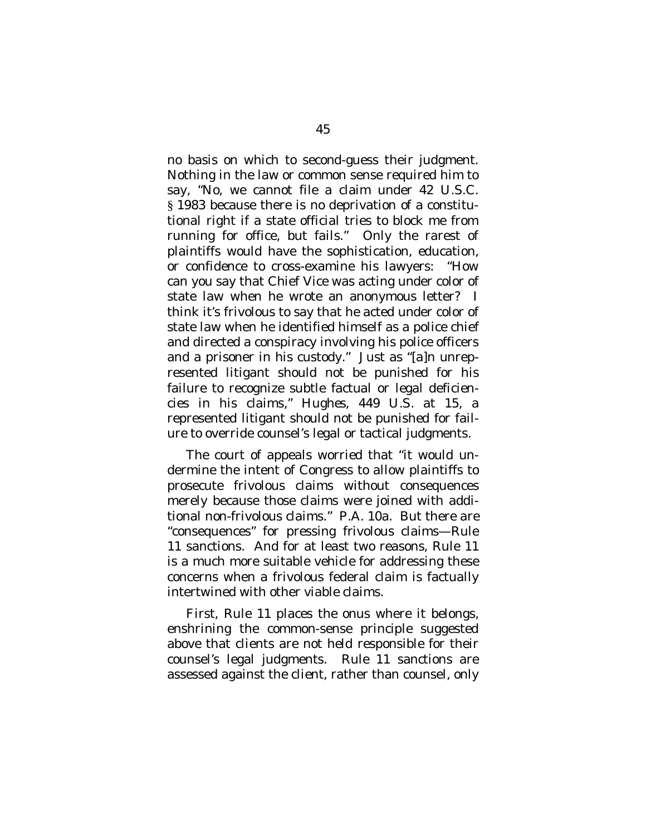no basis on which to second-guess their judgment. Nothing in the law or common sense required him to say, "No, we cannot file a claim under 42 U.S.C. § 1983 because there is no deprivation of a constitutional right if a state official tries to block me from running for office, but fails." Only the rarest of plaintiffs would have the sophistication, education, or confidence to cross-examine his lawyers: "How can you say that Chief Vice was acting under color of state law when he wrote an anonymous letter? I think it's frivolous to say that he acted under color of state law when he identified himself as a police chief and directed a conspiracy involving his police officers and a prisoner in his custody." Just as "[a]n unrepresented litigant should not be punished for his failure to recognize subtle factual or legal deficiencies in his claims," *Hughes*, 449 U.S. at 15, a represented litigant should not be punished for failure to override counsel's legal or tactical judgments.

The court of appeals worried that "it would undermine the intent of Congress to allow plaintiffs to prosecute frivolous claims without consequences merely because those claims were joined with additional non-frivolous claims." P.A. 10a. But there *are* "consequences" for pressing frivolous claims—Rule 11 sanctions. And for at least two reasons, Rule 11 is a much more suitable vehicle for addressing these concerns when a frivolous federal claim is factually intertwined with other viable claims.

First, Rule 11 places the onus where it belongs, enshrining the common-sense principle suggested above that clients are not held responsible for their counsel's legal judgments. Rule 11 sanctions are assessed against the client, rather than counsel, only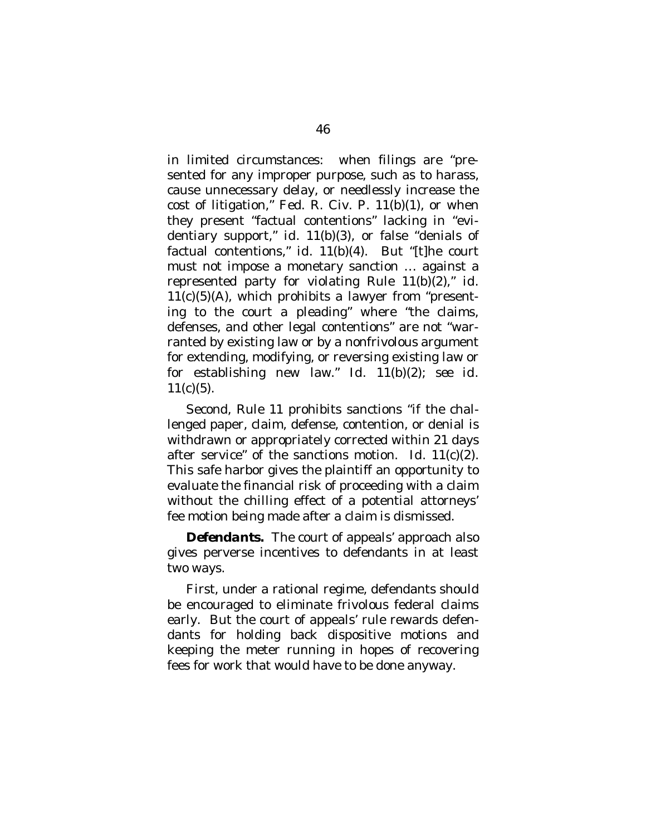in limited circumstances: when filings are "presented for any improper purpose, such as to harass, cause unnecessary delay, or needlessly increase the cost of litigation," Fed. R. Civ. P. 11(b)(1), or when they present "factual contentions" lacking in "evidentiary support," *id.* 11(b)(3), or false "denials of factual contentions," *id.* 11(b)(4). But "[t]he court must not impose a monetary sanction … against a represented party for violating Rule 11(b)(2)," *id*.  $11(c)(5)(A)$ , which prohibits a lawyer from "presenting to the court a pleading" where "the claims, defenses, and other legal contentions" are not "warranted by existing law or by a nonfrivolous argument for extending, modifying, or reversing existing law or for establishing new law." *Id.* 11(b)(2); *see id*.  $11(c)(5)$ .

Second, Rule 11 prohibits sanctions "if the challenged paper, claim, defense, contention, or denial is withdrawn or appropriately corrected within 21 days after service" of the sanctions motion. *Id*. 11(c)(2). This safe harbor gives the plaintiff an opportunity to evaluate the financial risk of proceeding with a claim without the chilling effect of a potential attorneys' fee motion being made after a claim is dismissed.

*Defendants.* The court of appeals' approach also gives perverse incentives to defendants in at least two ways.

First, under a rational regime, defendants should be encouraged to eliminate frivolous federal claims early. But the court of appeals' rule rewards defendants for holding back dispositive motions and keeping the meter running in hopes of recovering fees for work that would have to be done anyway.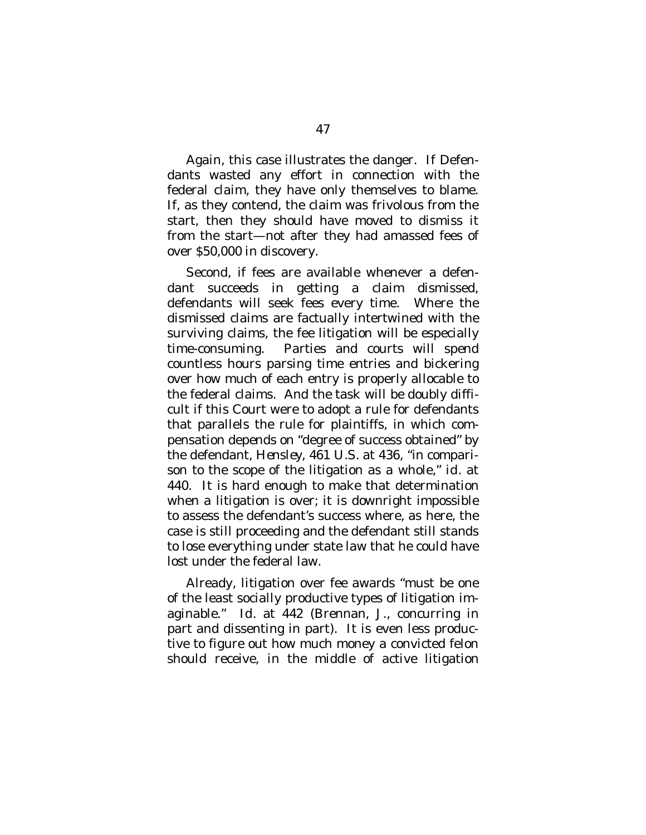Again, this case illustrates the danger. If Defendants wasted any effort in connection with the federal claim, they have only themselves to blame. If, as they contend, the claim was frivolous from the start, then they should have moved to dismiss it from the start—not after they had amassed fees of over \$50,000 in discovery.

Second, if fees are available whenever a defendant succeeds in getting a claim dismissed, defendants will seek fees every time. Where the dismissed claims are factually intertwined with the surviving claims, the fee litigation will be especially time-consuming. Parties and courts will spend countless hours parsing time entries and bickering over how much of each entry is properly allocable to the federal claims. And the task will be doubly difficult if this Court were to adopt a rule for defendants that parallels the rule for plaintiffs, in which compensation depends on "degree of success obtained" by the defendant, *Hensley*, 461 U.S. at 436, "in comparison to the scope of the litigation as a whole," *id.* at 440. It is hard enough to make that determination when a litigation is over; it is downright impossible to assess the defendant's success where, as here, the case is still proceeding and the defendant still stands to lose everything under state law that he could have lost under the federal law.

Already, litigation over fee awards "must be one of the least socially productive types of litigation imaginable." *Id*. at 442 (Brennan, J., concurring in part and dissenting in part). It is even less productive to figure out how much money a convicted felon should receive, in the middle of active litigation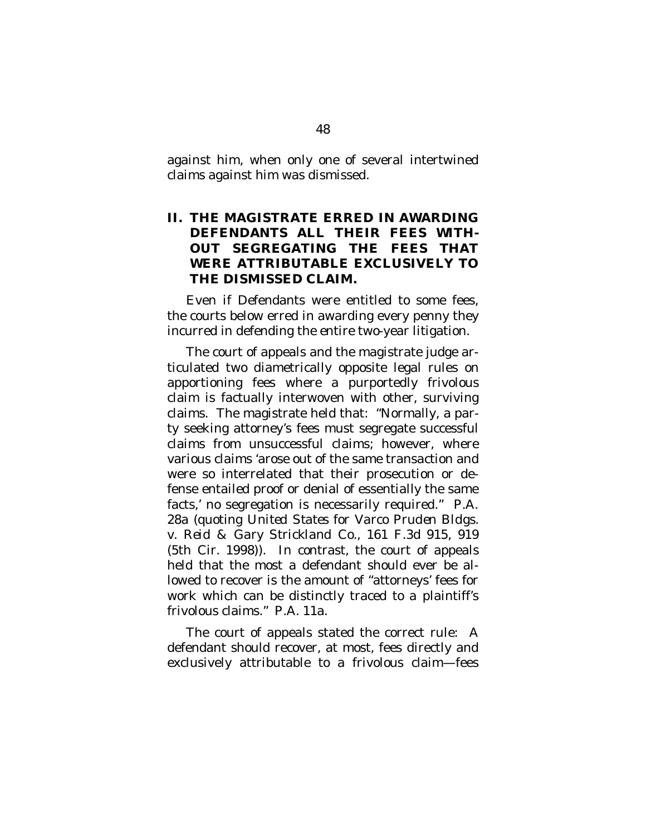against him, when only one of several intertwined claims against him was dismissed.

## <span id="page-59-0"></span>**II. THE MAGISTRATE ERRED IN AWARDING DEFENDANTS ALL THEIR FEES WITH-OUT SEGREGATING THE FEES THAT WERE ATTRIBUTABLE EXCLUSIVELY TO THE DISMISSED CLAIM.**

Even if Defendants were entitled to some fees, the courts below erred in awarding every penny they incurred in defending the entire two-year litigation.

The court of appeals and the magistrate judge articulated two diametrically opposite legal rules on apportioning fees where a purportedly frivolous claim is factually interwoven with other, surviving claims. The magistrate held that: "Normally, a party seeking attorney's fees must segregate successful claims from unsuccessful claims; however, where various claims 'arose out of the same transaction and were so interrelated that their prosecution or defense entailed proof or denial of essentially the same facts,' no segregation is necessarily required." P.A. 28a (quoting *United States for Varco Pruden Bldgs. v. Reid & Gary Strickland Co*., 161 F.3d 915, 919 (5th Cir. 1998)). In contrast, the court of appeals held that the most a defendant should ever be allowed to recover is the amount of "attorneys' fees for work which can be distinctly traced to a plaintiff's frivolous claims." P.A. 11a.

The court of appeals stated the correct rule: A defendant should recover, at most, fees directly and exclusively attributable to a frivolous claim—fees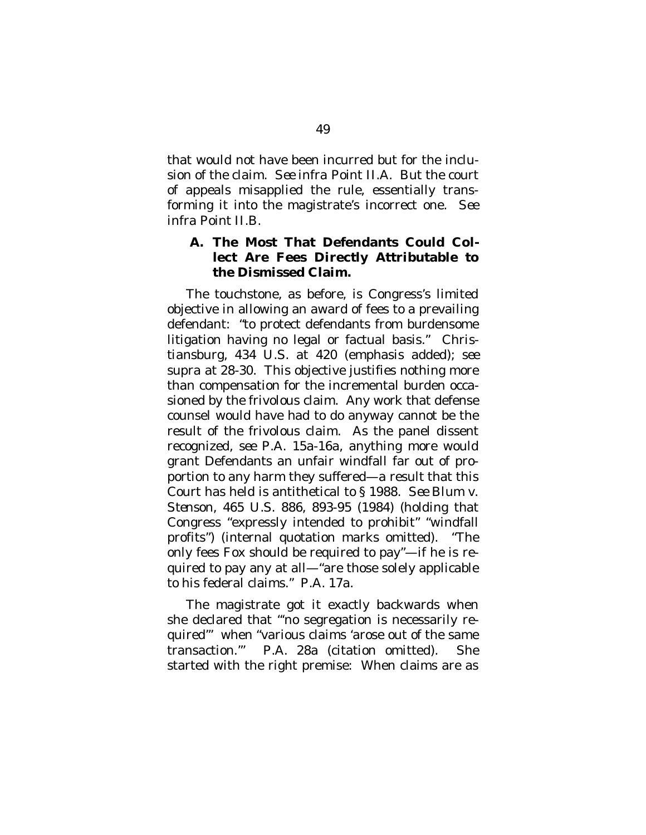that would not have been incurred but for the inclusion of the claim. *See infra* Point II.A. But the court of appeals misapplied the rule, essentially transforming it into the magistrate's incorrect one. *See infra* Point II.B.

<span id="page-60-0"></span>**A. The Most That Defendants Could Collect Are Fees Directly Attributable to the Dismissed Claim.**

The touchstone, as before, is Congress's limited objective in allowing an award of fees to a prevailing defendant: "to protect defendants from burdensome litigation having no legal or factual basis." *Christiansburg*, 434 U.S. at 420 (emphasis added); *see supra* at 28-30. This objective justifies nothing more than compensation for the incremental burden occasioned by the frivolous claim. Any work that defense counsel would have had to do anyway cannot be the result of the frivolous claim. As the panel dissent recognized, *see* P.A. 15a-16a, anything more would grant Defendants an unfair windfall far out of proportion to any harm they suffered—a result that this Court has held is antithetical to § 1988. *See Blum v. Stenson*, 465 U.S. 886, 893-95 (1984) (holding that Congress "expressly intended to prohibit" "windfall profits") (internal quotation marks omitted). "The only fees Fox should be required to pay"—if he is required to pay any at all—"are those solely applicable to his federal claims." P.A. 17a.

The magistrate got it exactly backwards when she declared that "'no segregation is necessarily required'" when "various claims 'arose out of the same transaction.'" P.A. 28a (citation omitted). She started with the right premise: When claims are as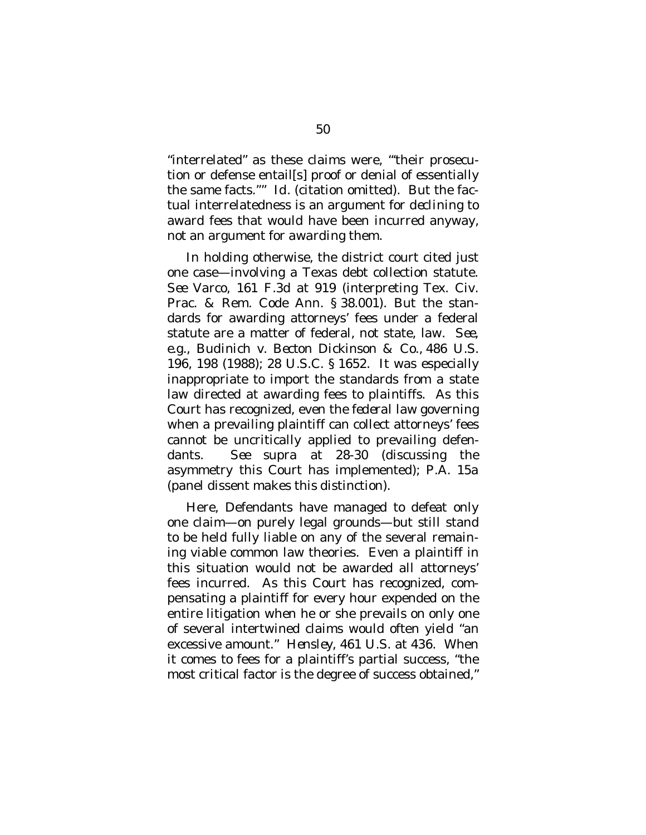"interrelated" as these claims were, "'their prosecution or defense entail[s] proof or denial of essentially the same facts.''" *Id*. (citation omitted). But the factual interrelatedness is an argument for *declining* to award fees that would have been incurred anyway, not an argument for *awarding* them.

In holding otherwise, the district court cited just one case—involving a Texas debt collection statute. *See Varco*, 161 F.3d at 919 (interpreting Tex. Civ. Prac. & Rem. Code Ann. § 38.001). But the standards for awarding attorneys' fees under a federal statute are a matter of federal, not state, law. *See, e.g., Budinich v. Becton Dickinson & Co*., 486 U.S. 196, 198 (1988); 28 U.S.C. § 1652. It was especially inappropriate to import the standards from a state law directed at awarding fees to *plaintiffs*. As this Court has recognized, even the *federal* law governing when a prevailing plaintiff can collect attorneys' fees cannot be uncritically applied to prevailing defendants. *See supra* at 28-30 (discussing the asymmetry this Court has implemented); P.A. 15a (panel dissent makes this distinction).

Here, Defendants have managed to defeat only one claim—on purely legal grounds—but still stand to be held fully liable on any of the several remaining viable common law theories. Even a plaintiff in this situation would not be awarded all attorneys' fees incurred. As this Court has recognized, compensating a plaintiff for every hour expended on the entire litigation when he or she prevails on only one of several intertwined claims would often yield "an excessive amount." *Hensley*, 461 U.S. at 436. When it comes to fees for a plaintiff's partial success, "the most critical factor is the degree of success obtained,"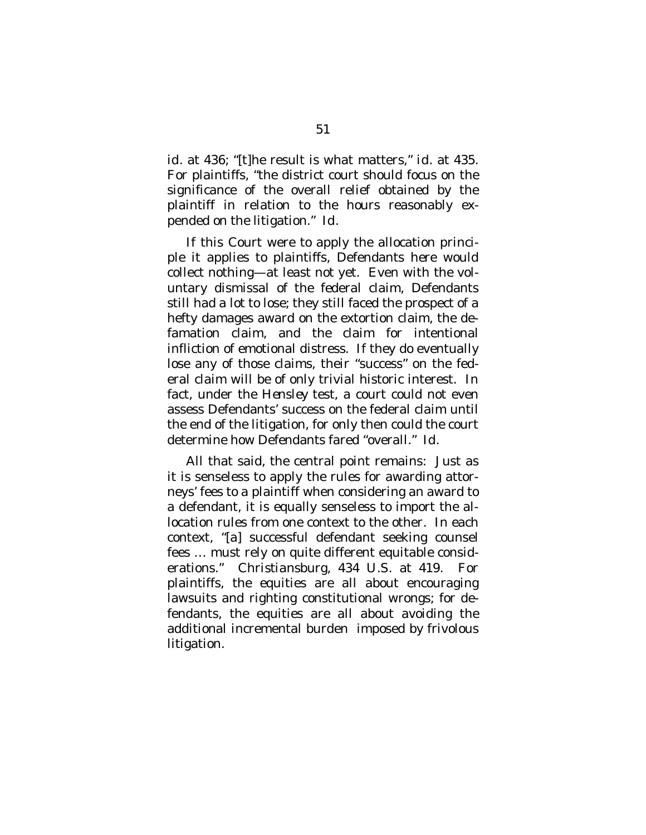*id*. at 436; "[t]he result is what matters," *id*. at 435. For plaintiffs, "the district court should focus on the significance of the overall relief obtained by the plaintiff in relation to the hours reasonably expended on the litigation." *Id*.

If this Court were to apply the allocation principle it applies to plaintiffs, Defendants here would collect nothing—at least not yet. Even with the voluntary dismissal of the federal claim, Defendants still had a lot to lose; they still faced the prospect of a hefty damages award on the extortion claim, the defamation claim, and the claim for intentional infliction of emotional distress. If they do eventually lose any of those claims, their "success" on the federal claim will be of only trivial historic interest. In fact, under the *Hensley* test, a court could not even assess Defendants' success on the federal claim until the end of the litigation, for only then could the court determine how Defendants fared "overall." *Id.*

All that said, the central point remains: Just as it is senseless to apply the rules for awarding attorneys' fees to a plaintiff when considering an award to a defendant, it is equally senseless to import the allocation rules from one context to the other. In each context, "[a] successful defendant seeking counsel fees … must rely on quite different equitable considerations." *Christiansburg*, 434 U.S. at 419. For plaintiffs, the equities are all about encouraging lawsuits and righting constitutional wrongs; for defendants, the equities are all about avoiding the additional incremental burden imposed by frivolous litigation.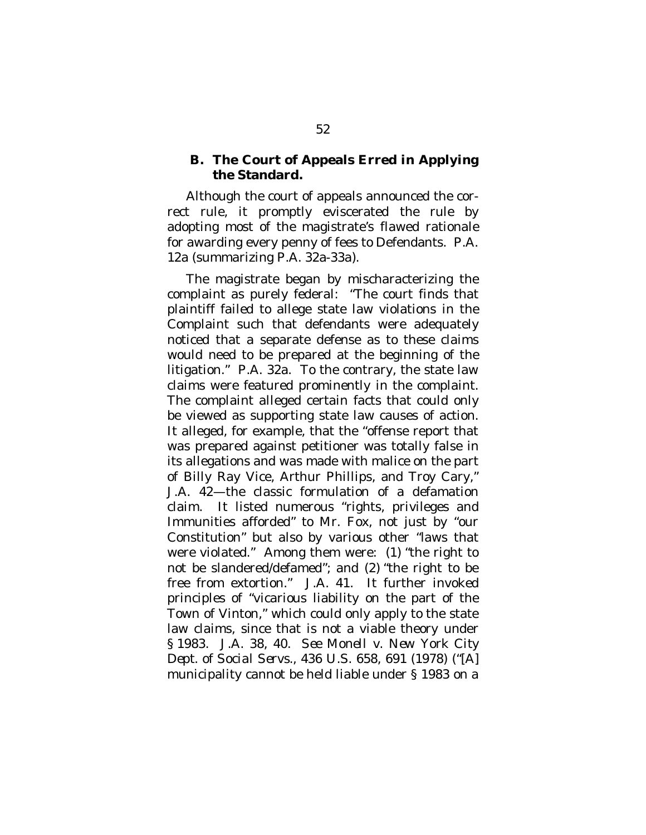### <span id="page-63-0"></span>**B. The Court of Appeals Erred in Applying the Standard.**

Although the court of appeals announced the correct rule, it promptly eviscerated the rule by adopting most of the magistrate's flawed rationale for awarding every penny of fees to Defendants. P.A. 12a (summarizing P.A. 32a-33a).

The magistrate began by mischaracterizing the complaint as purely federal: "The court finds that plaintiff failed to allege state law violations in the Complaint such that defendants were adequately noticed that a separate defense as to these claims would need to be prepared at the beginning of the litigation." P.A. 32a. To the contrary, the state law claims were featured prominently in the complaint. The complaint alleged certain facts that could only be viewed as supporting state law causes of action. It alleged, for example, that the "offense report that was prepared against petitioner was totally false in its allegations and was made with malice on the part of Billy Ray Vice, Arthur Phillips, and Troy Cary," J.A. 42—the classic formulation of a defamation claim. It listed numerous "rights, privileges and Immunities afforded" to Mr. Fox, not just by "our Constitution" but also by various other "laws that were violated." Among them were: (1) "the right to not be slandered/defamed"; and (2) "the right to be free from extortion." J.A. 41. It further invoked principles of "vicarious liability on the part of the Town of Vinton," which could only apply to the state law claims, since that is not a viable theory under § 1983. J.A. 38, 40. *See Monell v. New York City Dept. of Social Servs.*, 436 U.S. 658, 691 (1978) ("[A] municipality cannot be held liable under § 1983 on a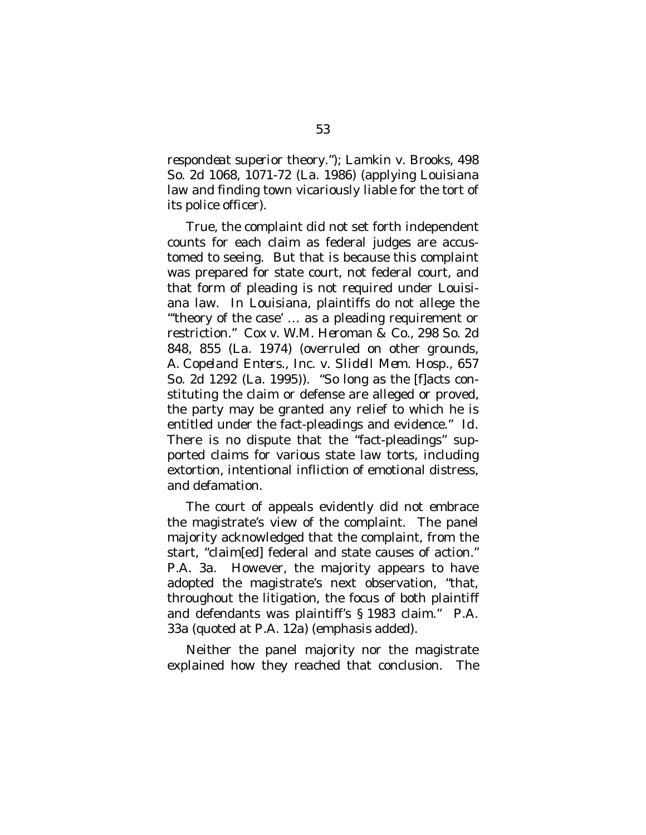*respondeat superior* theory."); *Lamkin v. Brooks*, 498 So. 2d 1068, 1071-72 (La. 1986) (applying Louisiana law and finding town vicariously liable for the tort of its police officer).

True, the complaint did not set forth independent counts for each claim as federal judges are accustomed to seeing. But that is because this complaint was prepared for state court, not federal court, and that form of pleading is not required under Louisiana law. In Louisiana, plaintiffs do not allege the "'theory of the case' … as a pleading requirement or restriction." *Cox v. W.M. Heroman & Co*., 298 So. 2d 848, 855 (La. 1974) (overruled on other grounds, *A. Copeland Enters., Inc. v. Slidell Mem. Hosp*., 657 So. 2d 1292 (La. 1995)). "So long as the [f]acts constituting the claim or defense are alleged or proved, the party may be granted any relief to which he is entitled under the fact-pleadings and evidence." *Id*. There is no dispute that the "fact-pleadings" supported claims for various state law torts, including extortion, intentional infliction of emotional distress, and defamation.

The court of appeals evidently did not embrace the magistrate's view of the complaint. The panel majority acknowledged that the complaint, from the start, "claim[ed] federal and state causes of action." P.A. 3a. However, the majority appears to have adopted the magistrate's next observation, "that, throughout the litigation, the focus of both plaintiff and defendants was plaintiff's § 1983 claim." P.A. 33a (quoted at P.A. 12a) (emphasis added).

Neither the panel majority nor the magistrate explained how they reached that conclusion. The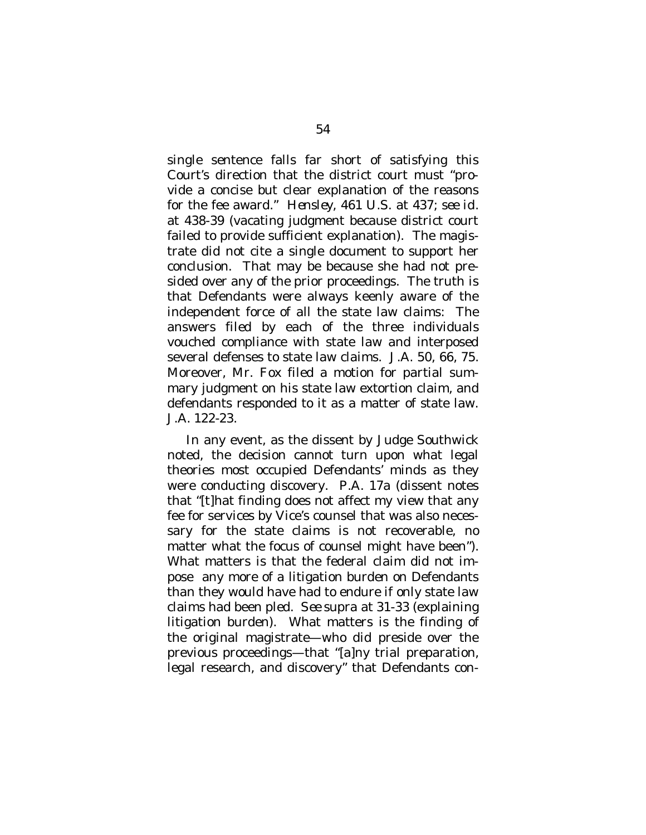single sentence falls far short of satisfying this Court's direction that the district court must "provide a concise but clear explanation of the reasons for the fee award." *Hensley*, 461 U.S. at 437; *see id*. at 438-39 (vacating judgment because district court failed to provide sufficient explanation). The magistrate did not cite a single document to support her conclusion. That may be because she had not presided over any of the prior proceedings. The truth is that Defendants were always keenly aware of the independent force of all the state law claims: The answers filed by each of the three individuals vouched compliance with state law and interposed several defenses to state law claims. J.A. 50, 66, 75. Moreover, Mr. Fox filed a motion for partial summary judgment on his state law extortion claim, and defendants responded to it as a matter of state law. J.A. 122-23.

In any event, as the dissent by Judge Southwick noted, the decision cannot turn upon what legal theories most occupied Defendants' minds as they were conducting discovery. P.A. 17a (dissent notes that "[t]hat finding does not affect my view that any fee for services by Vice's counsel that was also necessary for the state claims is not recoverable, no matter what the focus of counsel might have been"). What matters is that the federal claim did not impose any more of a litigation burden on Defendants than they would have had to endure if only state law claims had been pled. *See supra* at 31-33 (explaining litigation burden). What matters is the finding of the original magistrate—who did preside over the previous proceedings—that "[a]ny trial preparation, legal research, and discovery" that Defendants con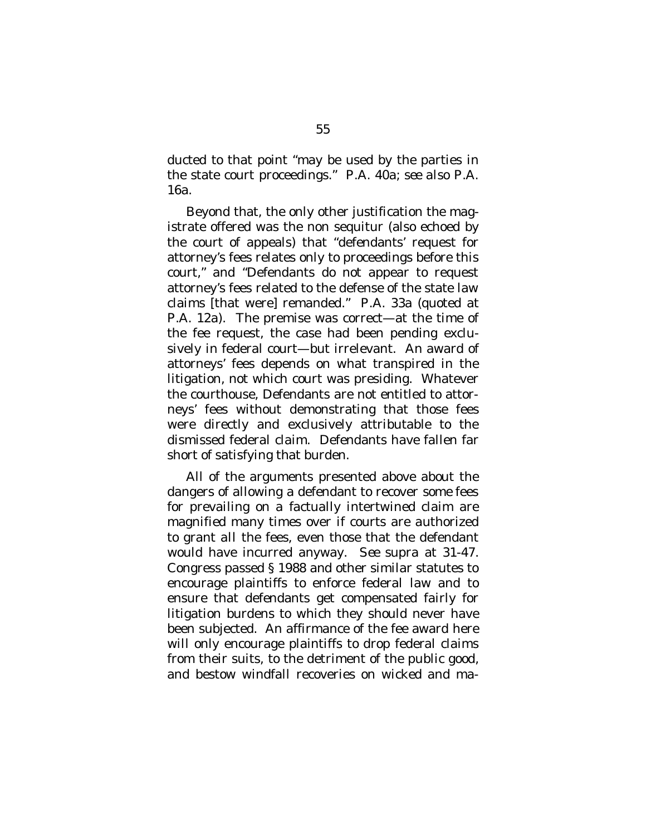ducted to that point "may be used by the parties in the state court proceedings." P.A. 40a; *see also* P.A. 16a.

Beyond that, the only other justification the magistrate offered was the non sequitur (also echoed by the court of appeals) that "defendants' request for attorney's fees relates only to proceedings before this court," and "Defendants do not appear to request attorney's fees related to the defense of the state law claims [that were] remanded." P.A. 33a (quoted at P.A. 12a). The premise was correct—at the time of the fee request, the case had been pending exclusively in federal court—but irrelevant. An award of attorneys' fees depends on what transpired in the litigation, not which court was presiding. Whatever the courthouse, Defendants are not entitled to attorneys' fees without demonstrating that those fees were directly and exclusively attributable to the dismissed federal claim. Defendants have fallen far short of satisfying that burden.

All of the arguments presented above about the dangers of allowing a defendant to recover *some* fees for prevailing on a factually intertwined claim are magnified many times over if courts are authorized to grant *all* the fees, even those that the defendant would have incurred anyway. *See supra* at 31-47. Congress passed § 1988 and other similar statutes to encourage plaintiffs to enforce federal law and to ensure that defendants get compensated fairly for litigation burdens to which they should never have been subjected. An affirmance of the fee award here will only encourage plaintiffs to drop federal claims from their suits, to the detriment of the public good, and bestow windfall recoveries on wicked and ma